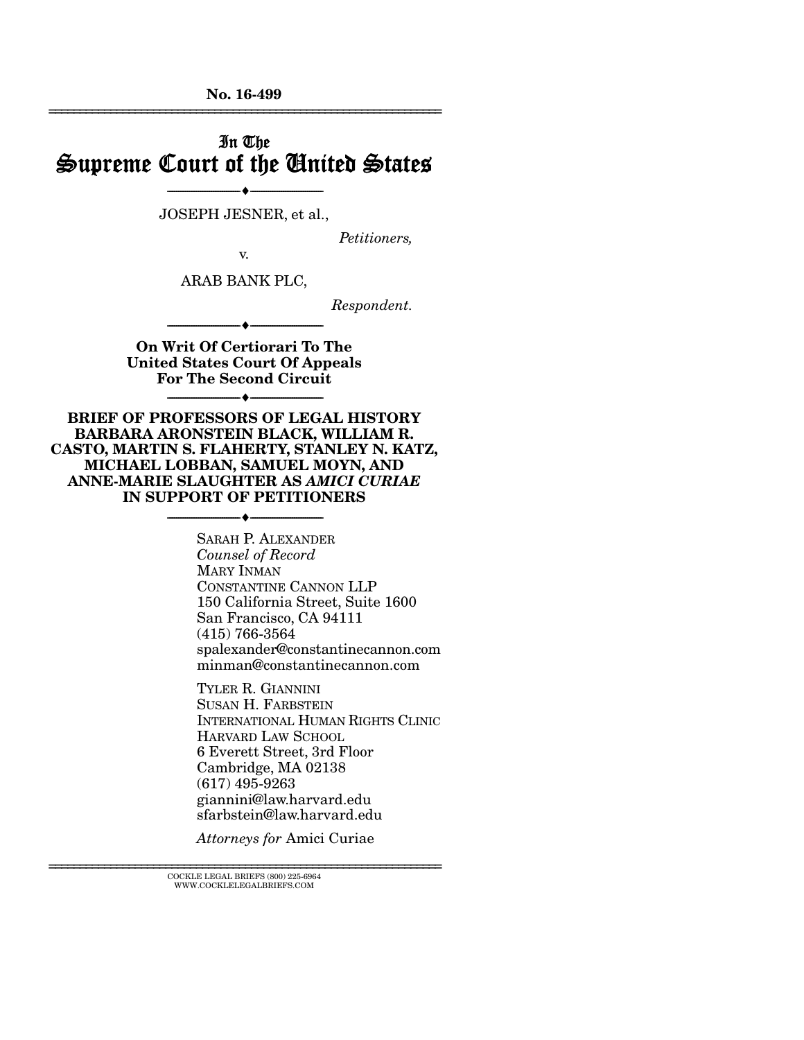No. 16-499 ================================================================

## In The Supreme Court of the United States

JOSEPH JESNER, et al.,

 $-\bullet$ 

*Petitioners,* 

v.

ARAB BANK PLC,

*Respondent.* 

On Writ Of Certiorari To The United States Court Of Appeals For The Second Circuit

--------------------------------- ---------------------------------

--------------------------------- ---------------------------------

BRIEF OF PROFESSORS OF LEGAL HISTORY BARBARA ARONSTEIN BLACK, WILLIAM R. CASTO, MARTIN S. FLAHERTY, STANLEY N. KATZ, MICHAEL LOBBAN, SAMUEL MOYN, AND ANNE-MARIE SLAUGHTER AS *AMICI CURIAE*  IN SUPPORT OF PETITIONERS

--------------------------------- ---------------------------------

SARAH P. ALEXANDER *Counsel of Record*  MARY INMAN CONSTANTINE CANNON LLP 150 California Street, Suite 1600 San Francisco, CA 94111 (415) 766-3564 spalexander@constantinecannon.com minman@constantinecannon.com

TYLER R. GIANNINI SUSAN H. FARBSTEIN INTERNATIONAL HUMAN RIGHTS CLINIC HARVARD LAW SCHOOL 6 Everett Street, 3rd Floor Cambridge, MA 02138 (617) 495-9263 giannini@law.harvard.edu sfarbstein@law.harvard.edu

*Attorneys for* Amici Curiae

 ${\rm COCKLE\;LEGAL\;BRIES}\; (800)\; 225\text{-}6964 \\ {\text{WWW.COCKLELEGALBRIES}\; \text{COM}}$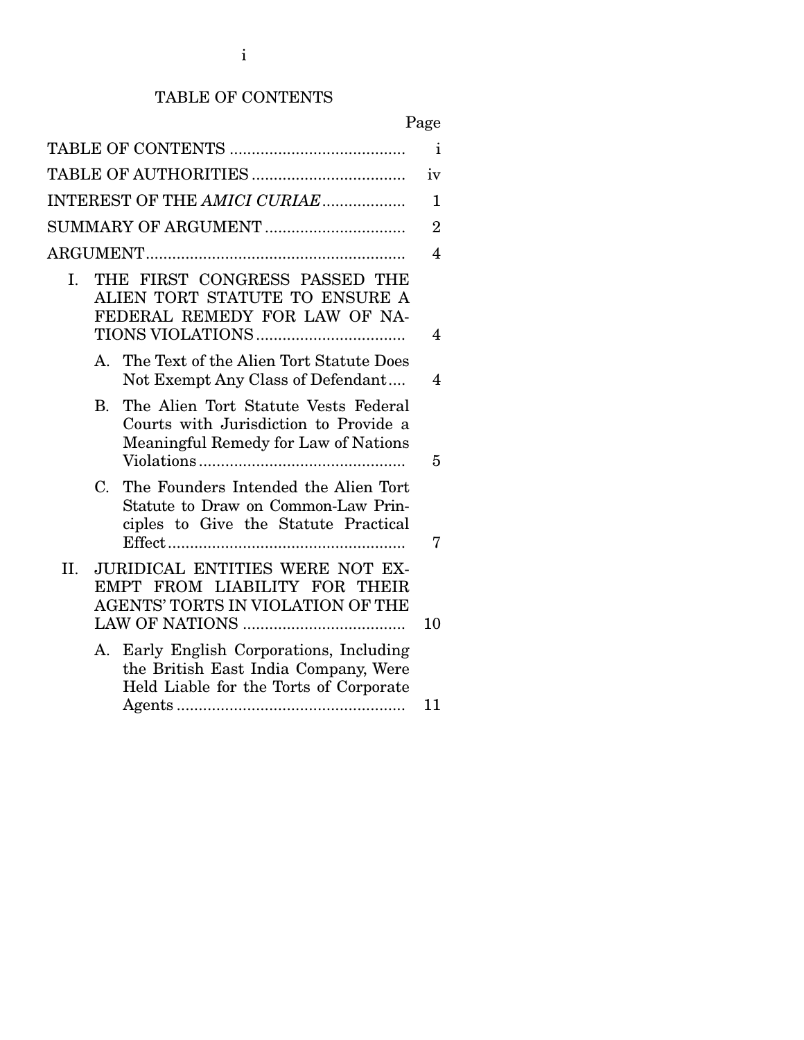## TABLE OF CONTENTS

| × |
|---|
|---|

|                |             |                                                                                                                            | $\mathbf{i}$   |
|----------------|-------------|----------------------------------------------------------------------------------------------------------------------------|----------------|
|                |             |                                                                                                                            | iv             |
|                |             | INTEREST OF THE AMICI CURIAE                                                                                               | $\mathbf{1}$   |
|                |             |                                                                                                                            | $\overline{2}$ |
|                |             |                                                                                                                            | 4              |
| $\mathbf{I}$ . |             | THE FIRST CONGRESS PASSED THE<br>ALIEN TORT STATUTE TO ENSURE A<br>FEDERAL REMEDY FOR LAW OF NA-                           | 4              |
|                | $A_{\cdot}$ | The Text of the Alien Tort Statute Does<br>Not Exempt Any Class of Defendant                                               | 4              |
|                | $B_{\cdot}$ | The Alien Tort Statute Vests Federal<br>Courts with Jurisdiction to Provide a<br>Meaningful Remedy for Law of Nations      | 5              |
|                | $C_{\cdot}$ | The Founders Intended the Alien Tort<br>Statute to Draw on Common-Law Prin-<br>ciples to Give the Statute Practical        | 7              |
| II.            |             | <b>JURIDICAL ENTITIES WERE NOT EX-</b><br>EMPT FROM LIABILITY FOR THEIR<br>AGENTS' TORTS IN VIOLATION OF THE               | 10             |
|                |             | A. Early English Corporations, Including<br>the British East India Company, Were<br>Held Liable for the Torts of Corporate | 11             |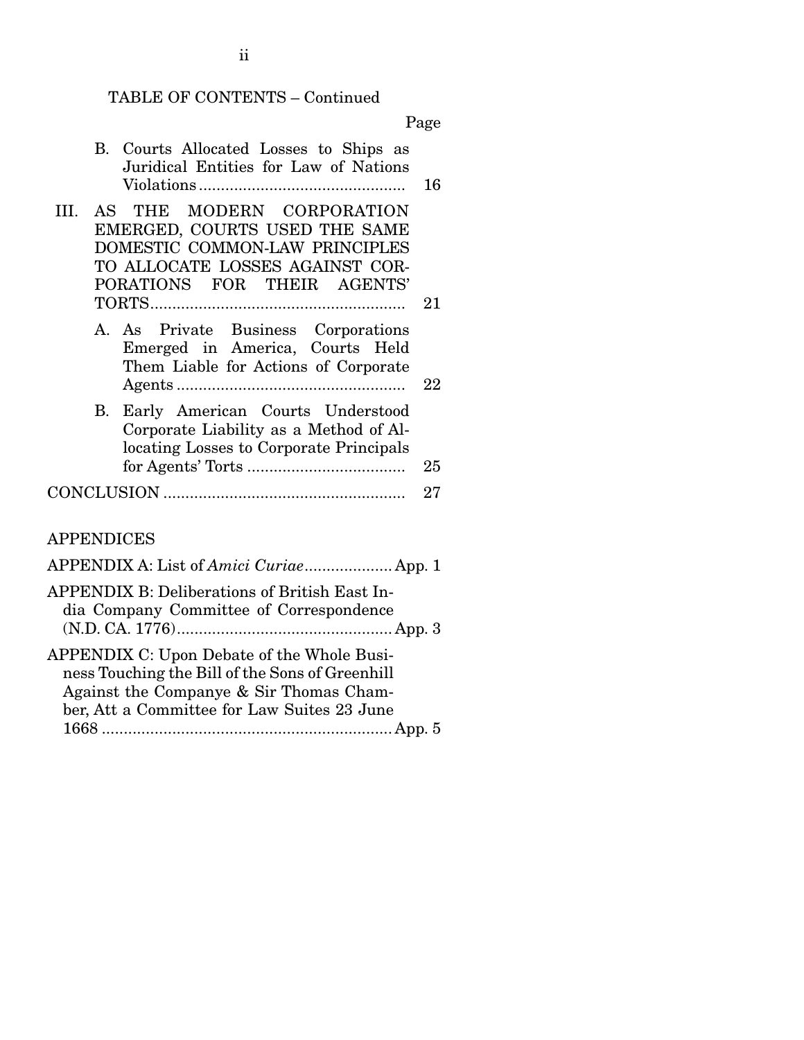## TABLE OF CONTENTS – Continued

Page

|                   |    | B. Courts Allocated Losses to Ships as<br>Juridical Entities for Law of Nations                                                                                | 16 |
|-------------------|----|----------------------------------------------------------------------------------------------------------------------------------------------------------------|----|
| III.              |    | AS THE MODERN CORPORATION<br>EMERGED, COURTS USED THE SAME<br>DOMESTIC COMMON-LAW PRINCIPLES<br>TO ALLOCATE LOSSES AGAINST COR-<br>PORATIONS FOR THEIR AGENTS' | 21 |
|                   |    | A. As Private Business Corporations<br>Emerged in America, Courts Held<br>Them Liable for Actions of Corporate                                                 | 22 |
|                   | В. | Early American Courts Understood<br>Corporate Liability as a Method of Al-<br>locating Losses to Corporate Principals                                          | 25 |
|                   |    |                                                                                                                                                                | 27 |
| <b>APPENDICES</b> |    |                                                                                                                                                                |    |
|                   |    |                                                                                                                                                                |    |
|                   |    | $\overline{1}$                                                                                                                                                 |    |

| APPENDIX B: Deliberations of British East In-<br>dia Company Committee of Correspondence |  |
|------------------------------------------------------------------------------------------|--|
| APPENDIX C: Upon Debate of the Whole Busi-                                               |  |
| ness Touching the Bill of the Sons of Greenhill                                          |  |
| Against the Companye & Sir Thomas Cham-                                                  |  |
| ber, Att a Committee for Law Suites 23 June                                              |  |
| 1668.                                                                                    |  |

ii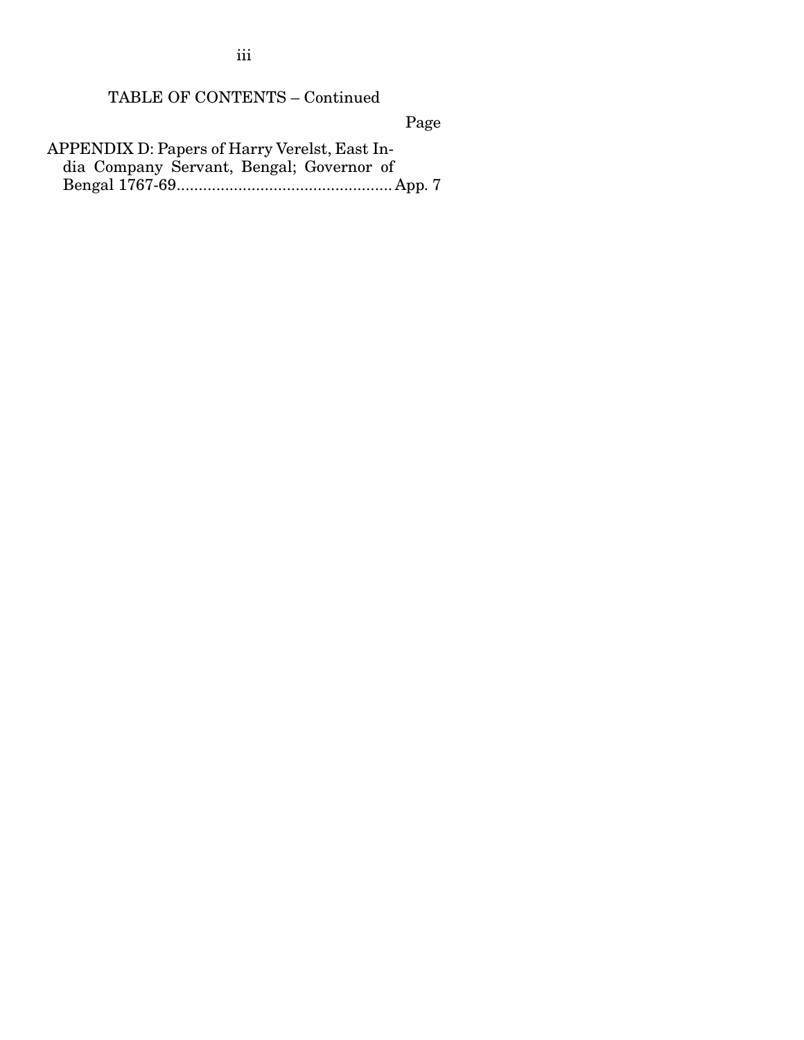iii

## TABLE OF CONTENTS – Continued

Page

APPENDIX D: Papers of Harry Verelst, East India Company Servant, Bengal; Governor of Bengal 1767-69 ................................................. App. 7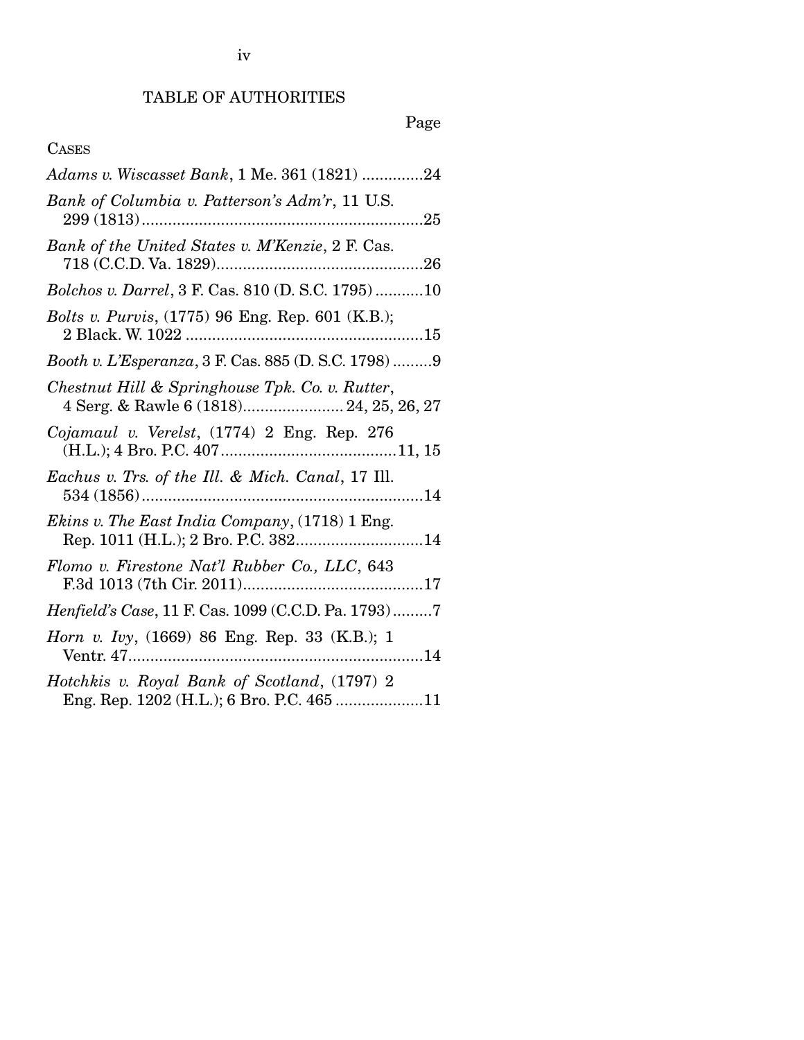## TABLE OF AUTHORITIES

# Page

## CASES

| Adams v. Wiscasset Bank, 1 Me. 361 (1821) 24                                                  |
|-----------------------------------------------------------------------------------------------|
| Bank of Columbia v. Patterson's Adm'r, 11 U.S.                                                |
| Bank of the United States v. M'Kenzie, 2 F. Cas.                                              |
| Bolchos v. Darrel, 3 F. Cas. 810 (D. S.C. 1795)10                                             |
| <i>Bolts v. Purvis</i> , (1775) 96 Eng. Rep. 601 (K.B.);                                      |
| Booth v. L'Esperanza, 3 F. Cas. 885 (D. S.C. 1798)9                                           |
| Chestnut Hill & Springhouse Tpk. Co. v. Rutter,<br>4 Serg. & Rawle 6 (1818) 24, 25, 26, 27    |
| Cojamaul v. Verelst, (1774) 2 Eng. Rep. 276                                                   |
| Eachus v. Trs. of the Ill. & Mich. Canal, 17 Ill.                                             |
| <i>Ekins v. The East India Company</i> , (1718) 1 Eng.<br>Rep. 1011 (H.L.); 2 Bro. P.C. 38214 |
| Flomo v. Firestone Nat'l Rubber Co., LLC, 643                                                 |
| Henfield's Case, 11 F. Cas. 1099 (C.C.D. Pa. 1793)7                                           |
| <i>Horn v. Ivy</i> , (1669) 86 Eng. Rep. 33 (K.B.); 1                                         |
| Hotchkis v. Royal Bank of Scotland, (1797) 2<br>Eng. Rep. 1202 (H.L.); 6 Bro. P.C. 465 11     |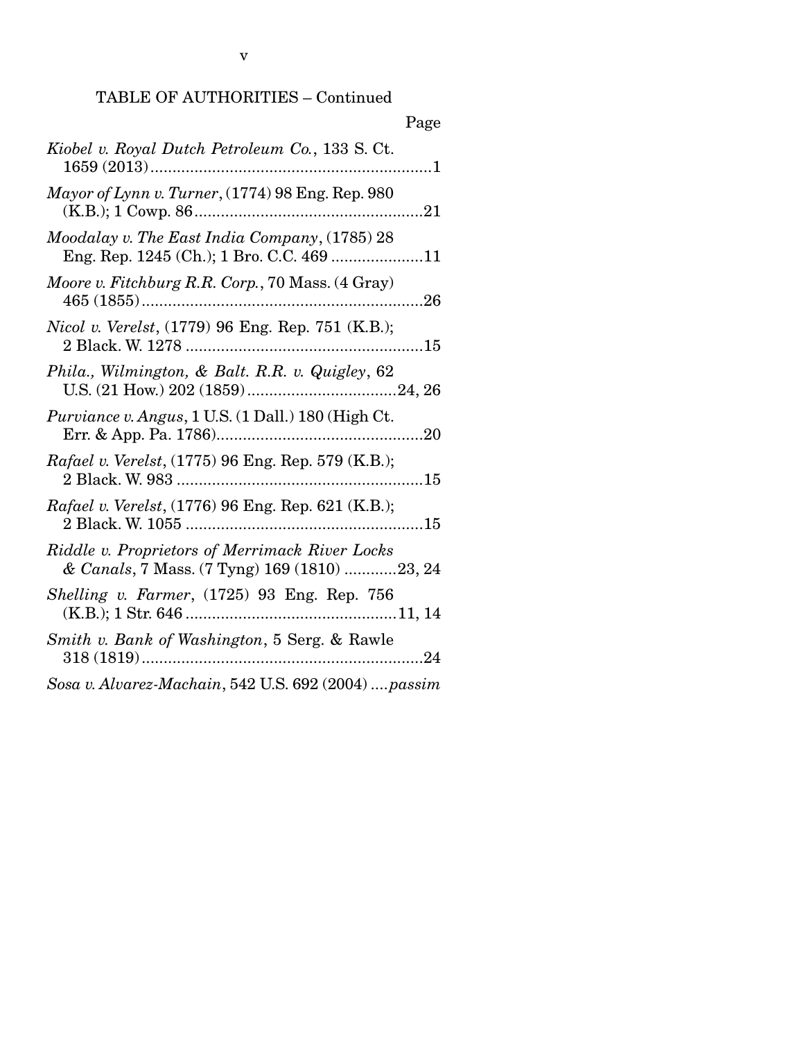## TABLE OF AUTHORITIES – Continued

|                                                                                                | Page |
|------------------------------------------------------------------------------------------------|------|
| Kiobel v. Royal Dutch Petroleum Co., 133 S. Ct.<br>$1659(2013)$                                |      |
| Mayor of Lynn v. Turner, (1774) 98 Eng. Rep. 980                                               |      |
| Moodalay v. The East India Company, (1785) 28<br>Eng. Rep. 1245 (Ch.); 1 Bro. C.C. 469 11      |      |
| Moore v. Fitchburg R.R. Corp., 70 Mass. (4 Gray)                                               |      |
| Nicol v. Verelst, (1779) 96 Eng. Rep. 751 (K.B.);                                              |      |
| Phila., Wilmington, & Balt. R.R. v. Quigley, 62                                                |      |
| Purviance v. Angus, 1 U.S. (1 Dall.) 180 (High Ct.                                             |      |
| Rafael v. Verelst, (1775) 96 Eng. Rep. 579 (K.B.);                                             |      |
| Rafael v. Verelst, (1776) 96 Eng. Rep. 621 (K.B.);                                             |      |
| Riddle v. Proprietors of Merrimack River Locks<br>& Canals, 7 Mass. (7 Tyng) 169 (1810) 23, 24 |      |
| Shelling v. Farmer, (1725) 93 Eng. Rep. 756                                                    |      |
| Smith v. Bank of Washington, 5 Serg. & Rawle                                                   |      |
| $11 \t 11 \t 11 \t 10170.900 (000.1)$                                                          |      |

*Sosa v. Alvarez-Machain*, 542 U.S. 692 (2004) .... *passim*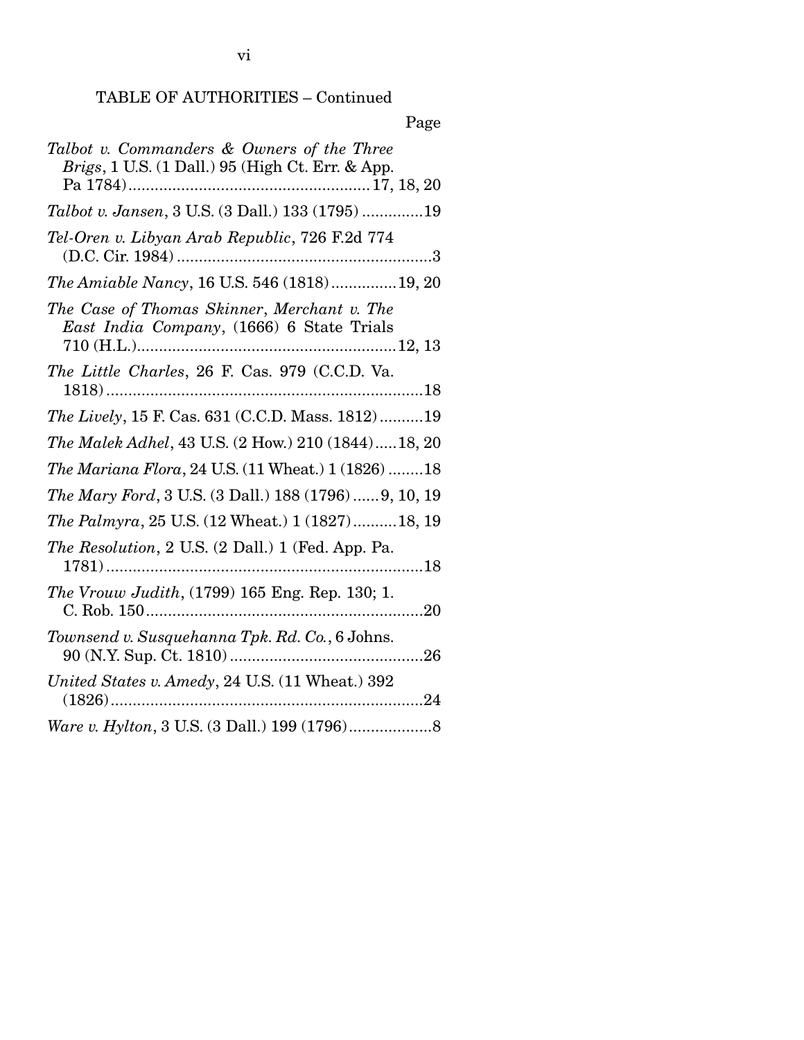## TABLE OF AUTHORITIES – Continued

| Page                                                                                           |
|------------------------------------------------------------------------------------------------|
| Talbot v. Commanders & Owners of the Three<br>Brigs, 1 U.S. (1 Dall.) 95 (High Ct. Err. & App. |
| Talbot v. Jansen, 3 U.S. (3 Dall.) 133 (1795) 19                                               |
| Tel-Oren v. Libyan Arab Republic, 726 F.2d 774                                                 |
| The Amiable Nancy, 16 U.S. 546 (1818)19, 20                                                    |
| The Case of Thomas Skinner, Merchant v. The<br>East India Company, (1666) 6 State Trials       |
| The Little Charles, 26 F. Cas. 979 (C.C.D. Va.                                                 |
| The Lively, 15 F. Cas. 631 (C.C.D. Mass. 1812)19                                               |
| The Malek Adhel, 43 U.S. (2 How.) 210 (1844)18, 20                                             |
| The Mariana Flora, 24 U.S. (11 Wheat.) 1 (1826) 18                                             |
| The Mary Ford, 3 U.S. (3 Dall.) 188 (1796)  9, 10, 19                                          |
| <i>The Palmyra</i> , 25 U.S. (12 Wheat.) 1 (1827)18, 19                                        |
| The Resolution, 2 U.S. (2 Dall.) 1 (Fed. App. Pa.                                              |
| The Vrouw Judith, (1799) 165 Eng. Rep. 130; 1.                                                 |
| Townsend v. Susquehanna Tpk. Rd. Co., 6 Johns.                                                 |
| United States v. Amedy, 24 U.S. (11 Wheat.) 392                                                |
|                                                                                                |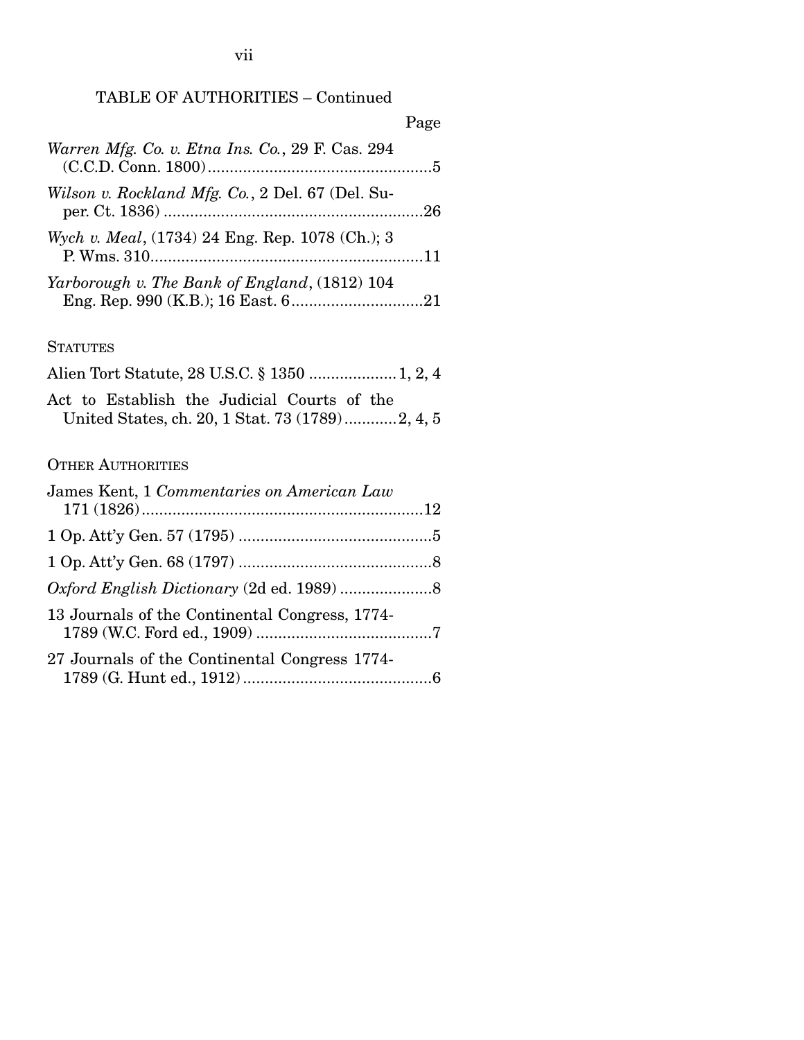# TABLE OF AUTHORITIES – Continued

|                                                  | Page |
|--------------------------------------------------|------|
| Warren Mfg. Co. v. Etna Ins. Co., 29 F. Cas. 294 |      |
| Wilson v. Rockland Mfg. Co., 2 Del. 67 (Del. Su- |      |
| Wych v. Meal, (1734) 24 Eng. Rep. 1078 (Ch.); 3  |      |
| Yarborough v. The Bank of England, (1812) 104    |      |

#### **STATUTES**

| Act to Establish the Judicial Courts of the |  |
|---------------------------------------------|--|
|                                             |  |
|                                             |  |

## OTHER AUTHORITIES

| James Kent, 1 Commentaries on American Law     |  |
|------------------------------------------------|--|
|                                                |  |
|                                                |  |
|                                                |  |
| 13 Journals of the Continental Congress, 1774- |  |
| 27 Journals of the Continental Congress 1774-  |  |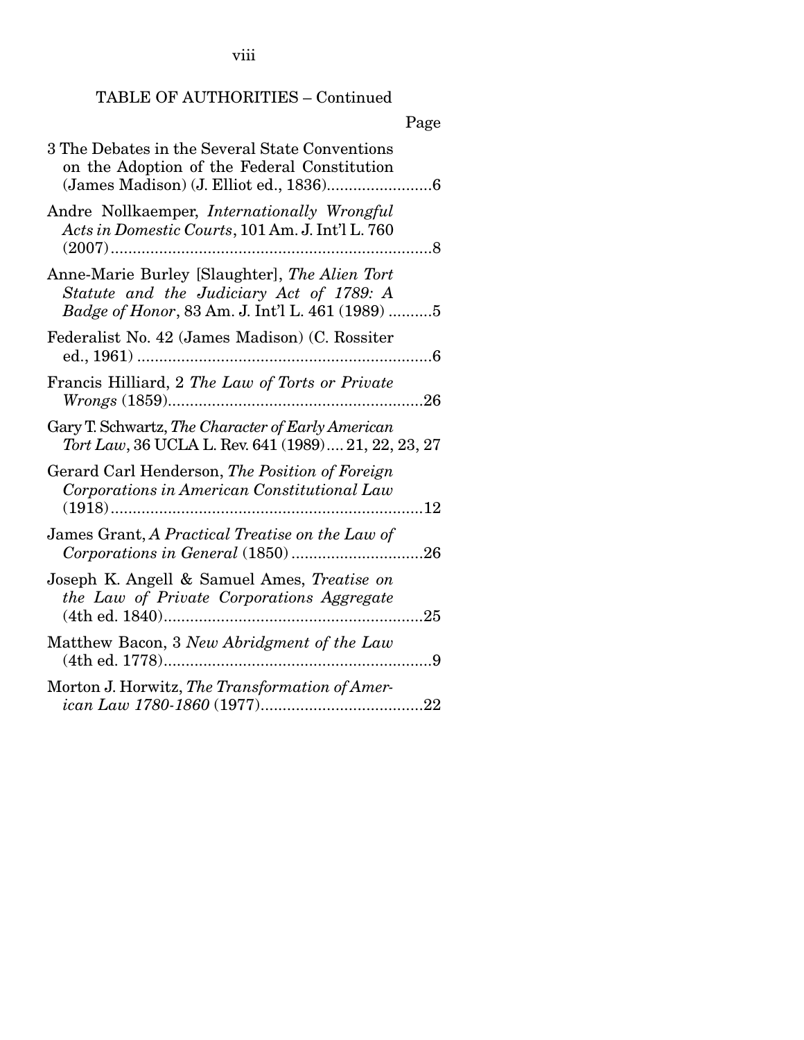viii

## TABLE OF AUTHORITIES – Continued

## Page

| 3 The Debates in the Several State Conventions<br>on the Adoption of the Federal Constitution                                                |
|----------------------------------------------------------------------------------------------------------------------------------------------|
| Andre Nollkaemper, Internationally Wrongful<br>Acts in Domestic Courts, 101 Am. J. Int'l L. 760                                              |
| Anne-Marie Burley [Slaughter], The Alien Tort<br>Statute and the Judiciary Act of 1789: A<br>Badge of Honor, 83 Am. J. Int'l L. 461 (1989) 5 |
| Federalist No. 42 (James Madison) (C. Rossiter                                                                                               |
| Francis Hilliard, 2 The Law of Torts or Private<br>26                                                                                        |
| Gary T. Schwartz, The Character of Early American<br>Tort Law, 36 UCLA L. Rev. 641 (1989) 21, 22, 23, 27                                     |
| Gerard Carl Henderson, The Position of Foreign<br>Corporations in American Constitutional Law                                                |
| James Grant, A Practical Treatise on the Law of                                                                                              |
| Joseph K. Angell & Samuel Ames, Treatise on<br>the Law of Private Corporations Aggregate                                                     |
| Matthew Bacon, 3 New Abridgment of the Law                                                                                                   |
| Morton J. Horwitz, The Transformation of Amer-                                                                                               |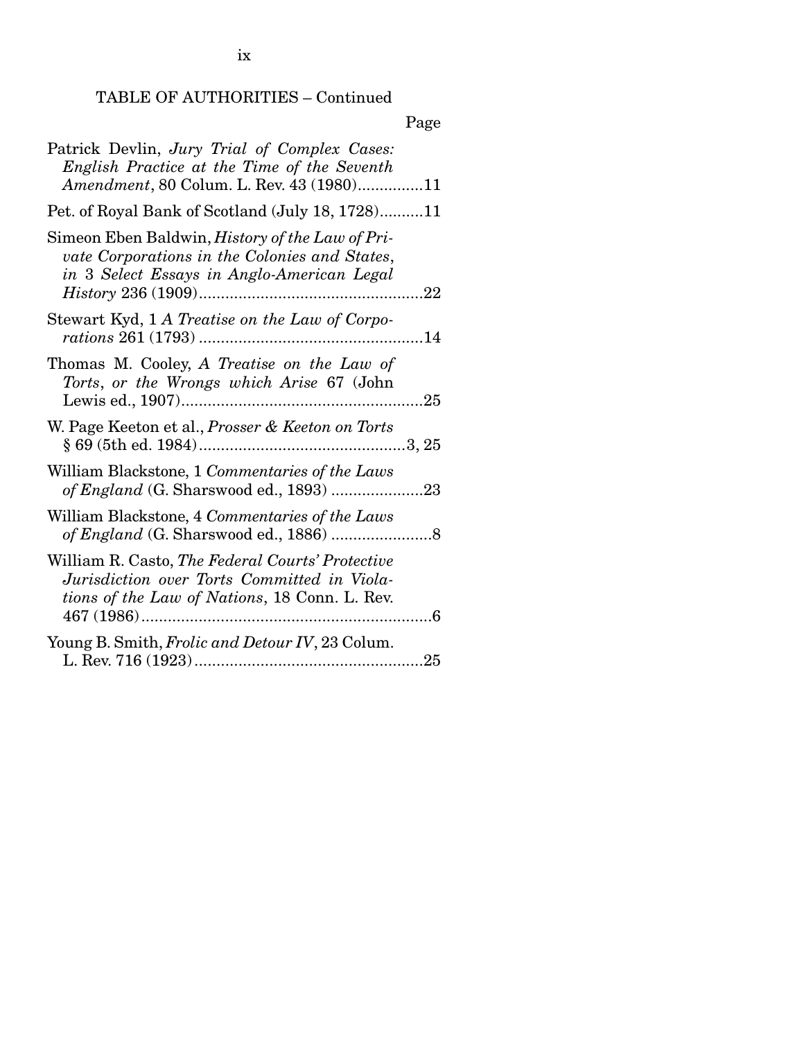ix

## TABLE OF AUTHORITIES – Continued

## Page

| Patrick Devlin, Jury Trial of Complex Cases:<br>English Practice at the Time of the Seventh<br>Amendment, 80 Colum. L. Rev. 43 (1980)11               |      |
|-------------------------------------------------------------------------------------------------------------------------------------------------------|------|
| Pet. of Royal Bank of Scotland (July 18, 1728)11                                                                                                      |      |
| Simeon Eben Baldwin, <i>History of the Law of Pri-</i><br>vate Corporations in the Colonies and States,<br>in 3 Select Essays in Anglo-American Legal |      |
| Stewart Kyd, 1 A Treatise on the Law of Corpo-<br><i>rations</i> 261 (1793)                                                                           | . 14 |
| Thomas M. Cooley, A Treatise on the Law of<br>Torts, or the Wrongs which Arise 67 (John                                                               |      |
| W. Page Keeton et al., Prosser & Keeton on Torts                                                                                                      |      |
| William Blackstone, 1 Commentaries of the Laws                                                                                                        |      |
| William Blackstone, 4 Commentaries of the Laws                                                                                                        |      |
| William R. Casto, The Federal Courts' Protective<br>Jurisdiction over Torts Committed in Viola-<br>tions of the Law of Nations, 18 Conn. L. Rev.      |      |
| Young B. Smith, Frolic and Detour IV, 23 Colum.                                                                                                       |      |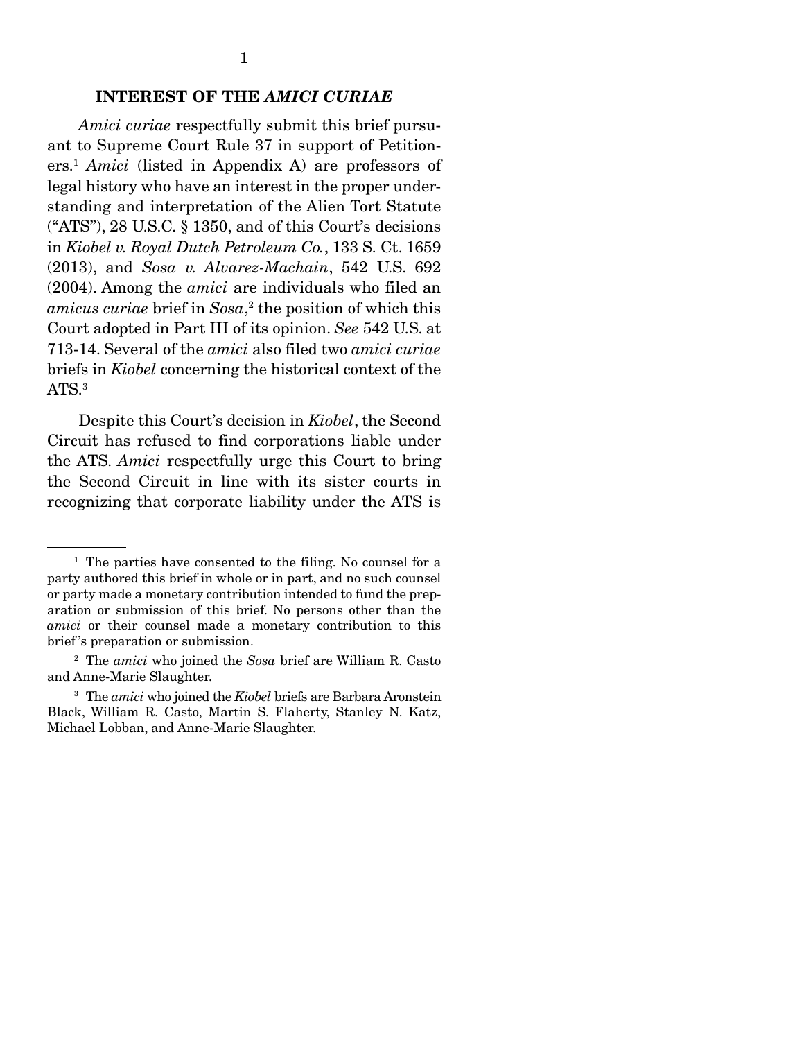#### INTEREST OF THE *AMICI CURIAE*

 *Amici curiae* respectfully submit this brief pursuant to Supreme Court Rule 37 in support of Petitioners.1 *Amici* (listed in Appendix A) are professors of legal history who have an interest in the proper understanding and interpretation of the Alien Tort Statute ("ATS"), 28 U.S.C. § 1350, and of this Court's decisions in *Kiobel v. Royal Dutch Petroleum Co.*, 133 S. Ct. 1659 (2013), and *Sosa v. Alvarez-Machain*, 542 U.S. 692 (2004). Among the *amici* are individuals who filed an *amicus curiae* brief in *Sosa*, 2 the position of which this Court adopted in Part III of its opinion. *See* 542 U.S. at 713-14. Several of the *amici* also filed two *amici curiae*  briefs in *Kiobel* concerning the historical context of the ATS.<sup>3</sup>

 Despite this Court's decision in *Kiobel*, the Second Circuit has refused to find corporations liable under the ATS. *Amici* respectfully urge this Court to bring the Second Circuit in line with its sister courts in recognizing that corporate liability under the ATS is

<sup>&</sup>lt;sup>1</sup> The parties have consented to the filing. No counsel for a party authored this brief in whole or in part, and no such counsel or party made a monetary contribution intended to fund the preparation or submission of this brief. No persons other than the *amici* or their counsel made a monetary contribution to this brief 's preparation or submission.

<sup>2</sup> The *amici* who joined the *Sosa* brief are William R. Casto and Anne-Marie Slaughter.

<sup>3</sup> The *amici* who joined the *Kiobel* briefs are Barbara Aronstein Black, William R. Casto, Martin S. Flaherty, Stanley N. Katz, Michael Lobban, and Anne-Marie Slaughter.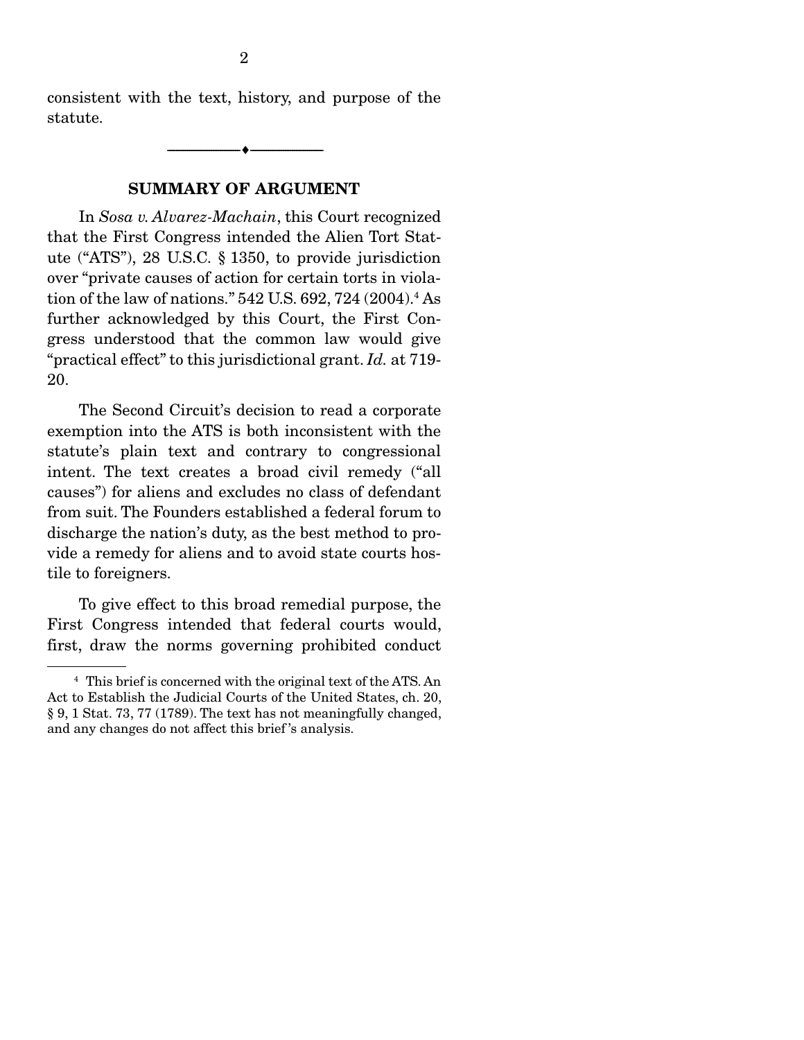consistent with the text, history, and purpose of the statute.

--------------------------------- ---------------------------------

#### SUMMARY OF ARGUMENT

 In *Sosa v. Alvarez-Machain*, this Court recognized that the First Congress intended the Alien Tort Statute ("ATS"), 28 U.S.C. § 1350, to provide jurisdiction over "private causes of action for certain torts in violation of the law of nations." 542 U.S. 692, 724 (2004).4 As further acknowledged by this Court, the First Congress understood that the common law would give "practical effect" to this jurisdictional grant. *Id.* at 719- 20.

 The Second Circuit's decision to read a corporate exemption into the ATS is both inconsistent with the statute's plain text and contrary to congressional intent. The text creates a broad civil remedy ("all causes") for aliens and excludes no class of defendant from suit. The Founders established a federal forum to discharge the nation's duty, as the best method to provide a remedy for aliens and to avoid state courts hostile to foreigners.

 To give effect to this broad remedial purpose, the First Congress intended that federal courts would, first, draw the norms governing prohibited conduct

<sup>4</sup> This brief is concerned with the original text of the ATS. An Act to Establish the Judicial Courts of the United States, ch. 20, § 9, 1 Stat. 73, 77 (1789). The text has not meaningfully changed, and any changes do not affect this brief 's analysis.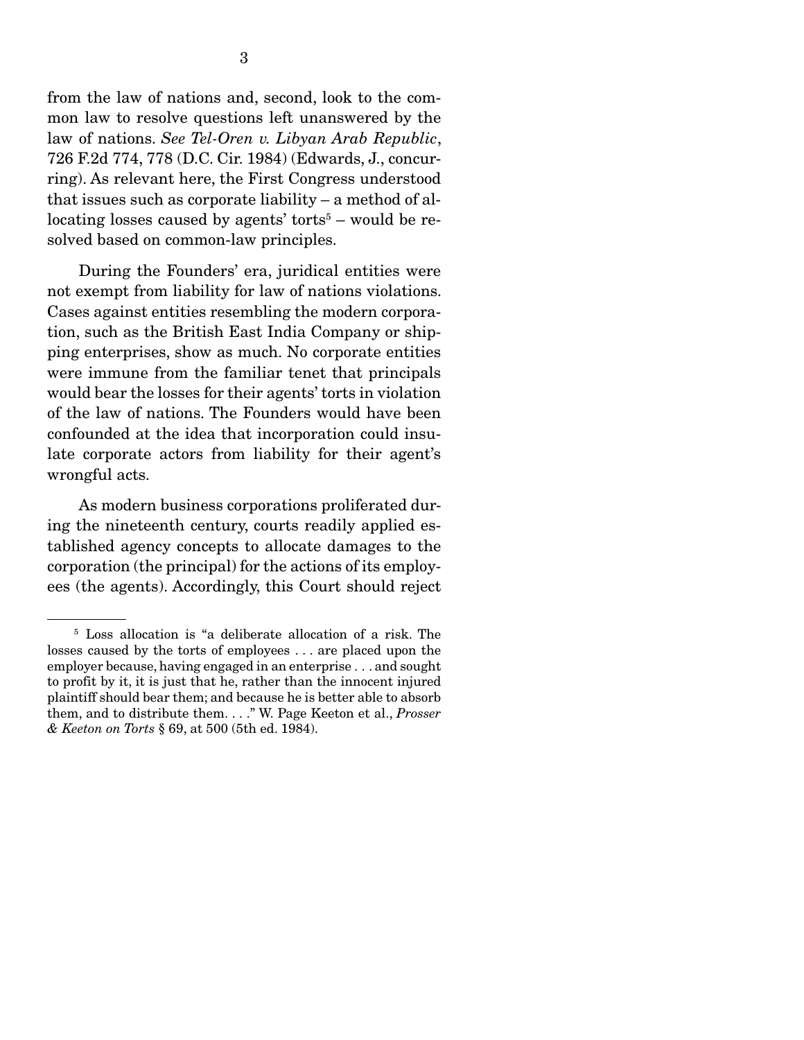from the law of nations and, second, look to the common law to resolve questions left unanswered by the law of nations. *See Tel-Oren v. Libyan Arab Republic*, 726 F.2d 774, 778 (D.C. Cir. 1984) (Edwards, J., concurring). As relevant here, the First Congress understood that issues such as corporate liability – a method of al $location$  losses caused by agents' torts<sup>5</sup> – would be resolved based on common-law principles.

 During the Founders' era, juridical entities were not exempt from liability for law of nations violations. Cases against entities resembling the modern corporation, such as the British East India Company or shipping enterprises, show as much. No corporate entities were immune from the familiar tenet that principals would bear the losses for their agents' torts in violation of the law of nations. The Founders would have been confounded at the idea that incorporation could insulate corporate actors from liability for their agent's wrongful acts.

 As modern business corporations proliferated during the nineteenth century, courts readily applied established agency concepts to allocate damages to the corporation (the principal) for the actions of its employees (the agents). Accordingly, this Court should reject

<sup>&</sup>lt;sup>5</sup> Loss allocation is "a deliberate allocation of a risk. The losses caused by the torts of employees . . . are placed upon the employer because, having engaged in an enterprise . . . and sought to profit by it, it is just that he, rather than the innocent injured plaintiff should bear them; and because he is better able to absorb them, and to distribute them. . . ." W. Page Keeton et al., *Prosser & Keeton on Torts* § 69, at 500 (5th ed. 1984).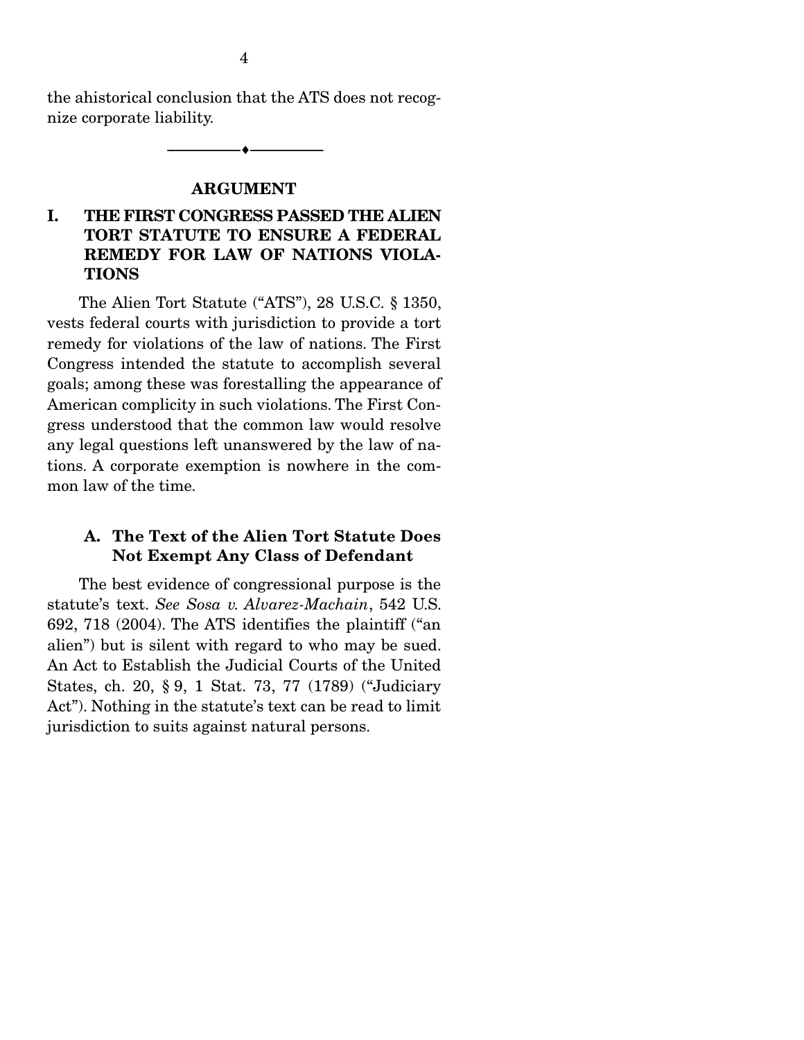the ahistorical conclusion that the ATS does not recognize corporate liability.

--------------------------------- ---------------------------------

### ARGUMENT

### I. THE FIRST CONGRESS PASSED THE ALIEN TORT STATUTE TO ENSURE A FEDERAL REMEDY FOR LAW OF NATIONS VIOLA-**TIONS**

 The Alien Tort Statute ("ATS"), 28 U.S.C. § 1350, vests federal courts with jurisdiction to provide a tort remedy for violations of the law of nations. The First Congress intended the statute to accomplish several goals; among these was forestalling the appearance of American complicity in such violations. The First Congress understood that the common law would resolve any legal questions left unanswered by the law of nations. A corporate exemption is nowhere in the common law of the time.

### A. The Text of the Alien Tort Statute Does Not Exempt Any Class of Defendant

 The best evidence of congressional purpose is the statute's text. *See Sosa v. Alvarez-Machain*, 542 U.S. 692, 718 (2004). The ATS identifies the plaintiff ("an alien") but is silent with regard to who may be sued. An Act to Establish the Judicial Courts of the United States, ch. 20, § 9, 1 Stat. 73, 77 (1789) ("Judiciary Act"). Nothing in the statute's text can be read to limit jurisdiction to suits against natural persons.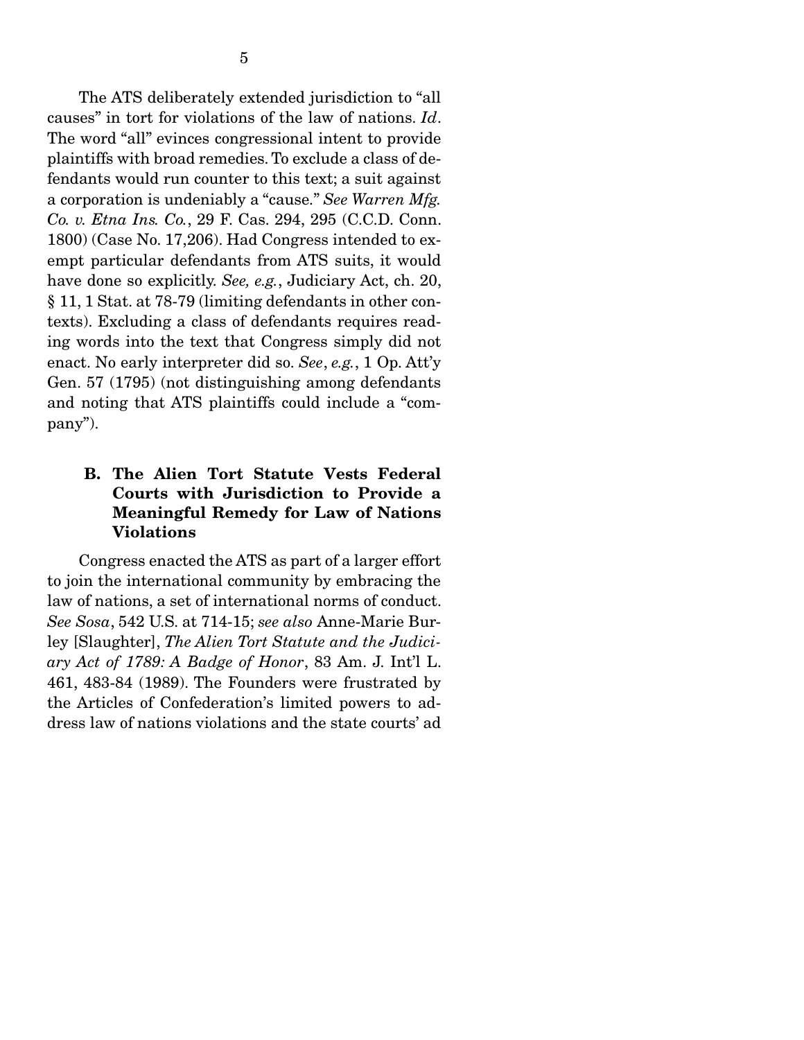The ATS deliberately extended jurisdiction to "all causes" in tort for violations of the law of nations. *Id*. The word "all" evinces congressional intent to provide plaintiffs with broad remedies. To exclude a class of defendants would run counter to this text; a suit against a corporation is undeniably a "cause." *See Warren Mfg. Co. v. Etna Ins. Co.*, 29 F. Cas. 294, 295 (C.C.D. Conn. 1800) (Case No. 17,206). Had Congress intended to exempt particular defendants from ATS suits, it would have done so explicitly. *See, e.g.*, Judiciary Act, ch. 20, § 11, 1 Stat. at 78-79 (limiting defendants in other contexts). Excluding a class of defendants requires reading words into the text that Congress simply did not enact. No early interpreter did so. *See*, *e.g.*, 1 Op. Att'y Gen. 57 (1795) (not distinguishing among defendants and noting that ATS plaintiffs could include a "company").

### B. The Alien Tort Statute Vests Federal Courts with Jurisdiction to Provide a Meaningful Remedy for Law of Nations Violations

 Congress enacted the ATS as part of a larger effort to join the international community by embracing the law of nations, a set of international norms of conduct. *See Sosa*, 542 U.S. at 714-15; *see also* Anne-Marie Burley [Slaughter], *The Alien Tort Statute and the Judiciary Act of 1789: A Badge of Honor*, 83 Am. J. Int'l L. 461, 483-84 (1989). The Founders were frustrated by the Articles of Confederation's limited powers to address law of nations violations and the state courts' ad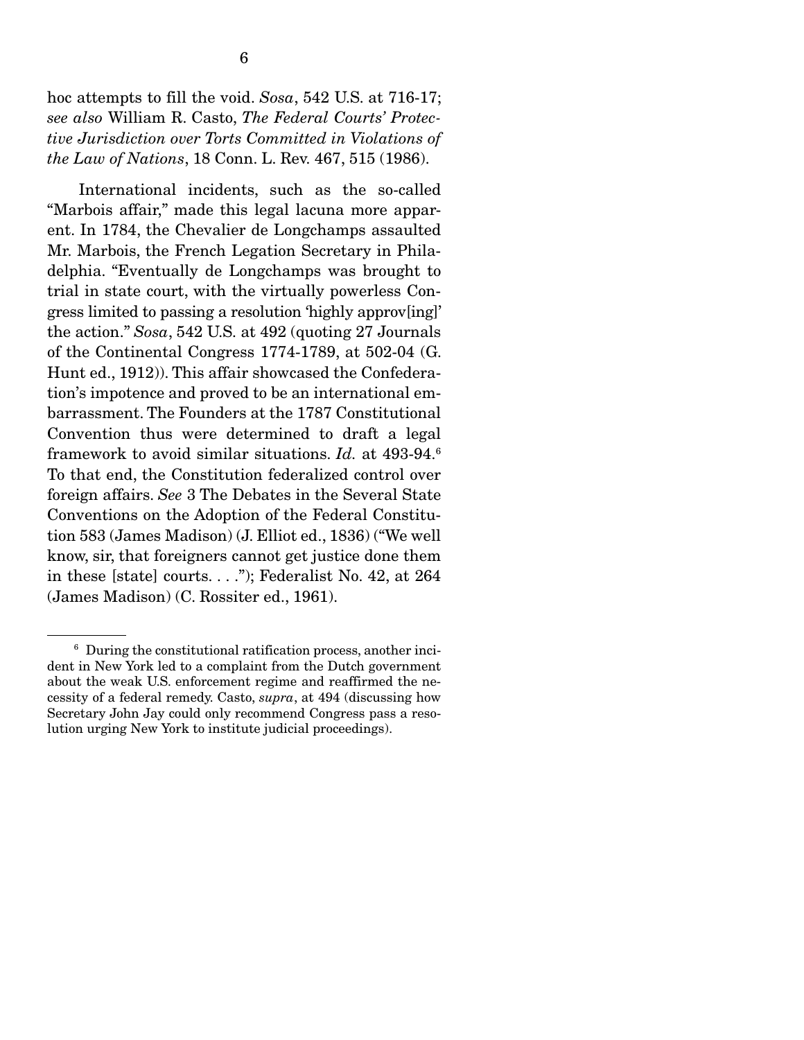hoc attempts to fill the void. *Sosa*, 542 U.S. at 716-17; *see also* William R. Casto, *The Federal Courts' Protective Jurisdiction over Torts Committed in Violations of the Law of Nations*, 18 Conn. L. Rev. 467, 515 (1986).

 International incidents, such as the so-called "Marbois affair," made this legal lacuna more apparent. In 1784, the Chevalier de Longchamps assaulted Mr. Marbois, the French Legation Secretary in Philadelphia. "Eventually de Longchamps was brought to trial in state court, with the virtually powerless Congress limited to passing a resolution 'highly approv[ing]' the action." *Sosa*, 542 U.S. at 492 (quoting 27 Journals of the Continental Congress 1774-1789, at 502-04 (G. Hunt ed., 1912)). This affair showcased the Confederation's impotence and proved to be an international embarrassment. The Founders at the 1787 Constitutional Convention thus were determined to draft a legal framework to avoid similar situations. *Id.* at 493-94.6 To that end, the Constitution federalized control over foreign affairs. *See* 3 The Debates in the Several State Conventions on the Adoption of the Federal Constitution 583 (James Madison) (J. Elliot ed., 1836) ("We well know, sir, that foreigners cannot get justice done them in these [state] courts. . . ."); Federalist No. 42, at 264 (James Madison) (C. Rossiter ed., 1961).

<sup>6</sup> During the constitutional ratification process, another incident in New York led to a complaint from the Dutch government about the weak U.S. enforcement regime and reaffirmed the necessity of a federal remedy. Casto, *supra*, at 494 (discussing how Secretary John Jay could only recommend Congress pass a resolution urging New York to institute judicial proceedings).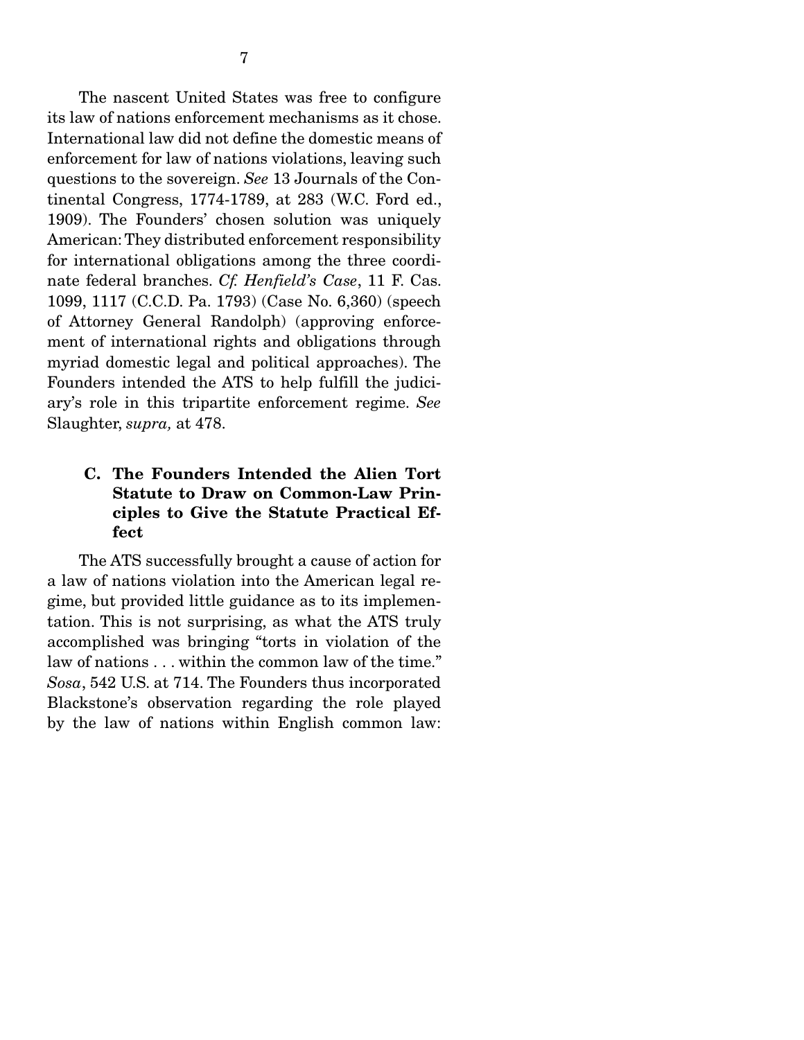The nascent United States was free to configure its law of nations enforcement mechanisms as it chose. International law did not define the domestic means of enforcement for law of nations violations, leaving such questions to the sovereign. *See* 13 Journals of the Continental Congress, 1774-1789, at 283 (W.C. Ford ed., 1909). The Founders' chosen solution was uniquely American: They distributed enforcement responsibility for international obligations among the three coordinate federal branches. *Cf. Henfield's Case*, 11 F. Cas. 1099, 1117 (C.C.D. Pa. 1793) (Case No. 6,360) (speech of Attorney General Randolph) (approving enforcement of international rights and obligations through myriad domestic legal and political approaches). The Founders intended the ATS to help fulfill the judiciary's role in this tripartite enforcement regime. *See*  Slaughter, *supra,* at 478.

### C. The Founders Intended the Alien Tort Statute to Draw on Common-Law Principles to Give the Statute Practical Effect

 The ATS successfully brought a cause of action for a law of nations violation into the American legal regime, but provided little guidance as to its implementation. This is not surprising, as what the ATS truly accomplished was bringing "torts in violation of the law of nations . . . within the common law of the time." *Sosa*, 542 U.S. at 714. The Founders thus incorporated Blackstone's observation regarding the role played by the law of nations within English common law: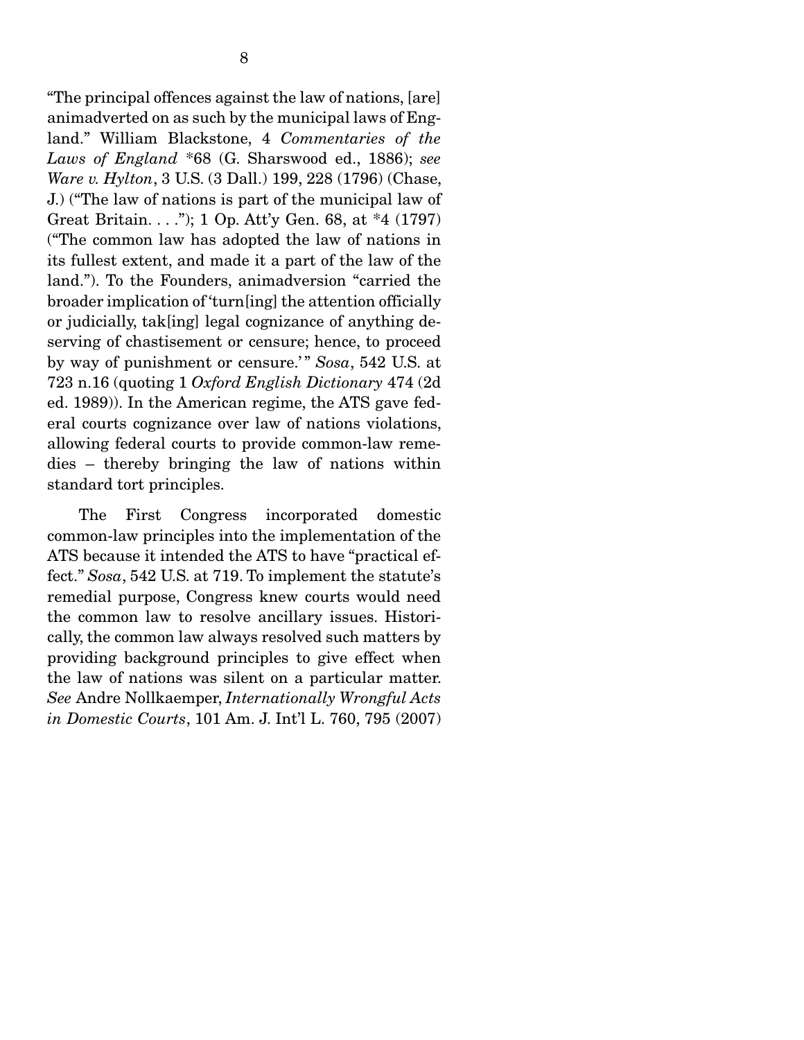"The principal offences against the law of nations, [are] animadverted on as such by the municipal laws of England." William Blackstone, 4 *Commentaries of the Laws of England* \*68 (G. Sharswood ed., 1886); *see Ware v. Hylton*, 3 U.S. (3 Dall.) 199, 228 (1796) (Chase, J.) ("The law of nations is part of the municipal law of Great Britain. . . ."); 1 Op. Att'y Gen. 68, at \*4 (1797) ("The common law has adopted the law of nations in its fullest extent, and made it a part of the law of the land."). To the Founders, animadversion "carried the broader implication of 'turn[ing] the attention officially or judicially, tak[ing] legal cognizance of anything deserving of chastisement or censure; hence, to proceed by way of punishment or censure.'" *Sosa*, 542 U.S. at 723 n.16 (quoting 1 *Oxford English Dictionary* 474 (2d ed. 1989)). In the American regime, the ATS gave federal courts cognizance over law of nations violations, allowing federal courts to provide common-law remedies – thereby bringing the law of nations within standard tort principles.

 The First Congress incorporated domestic common-law principles into the implementation of the ATS because it intended the ATS to have "practical effect." *Sosa*, 542 U.S. at 719. To implement the statute's remedial purpose, Congress knew courts would need the common law to resolve ancillary issues. Historically, the common law always resolved such matters by providing background principles to give effect when the law of nations was silent on a particular matter. *See* Andre Nollkaemper, *Internationally Wrongful Acts in Domestic Courts*, 101 Am. J. Int'l L. 760, 795 (2007)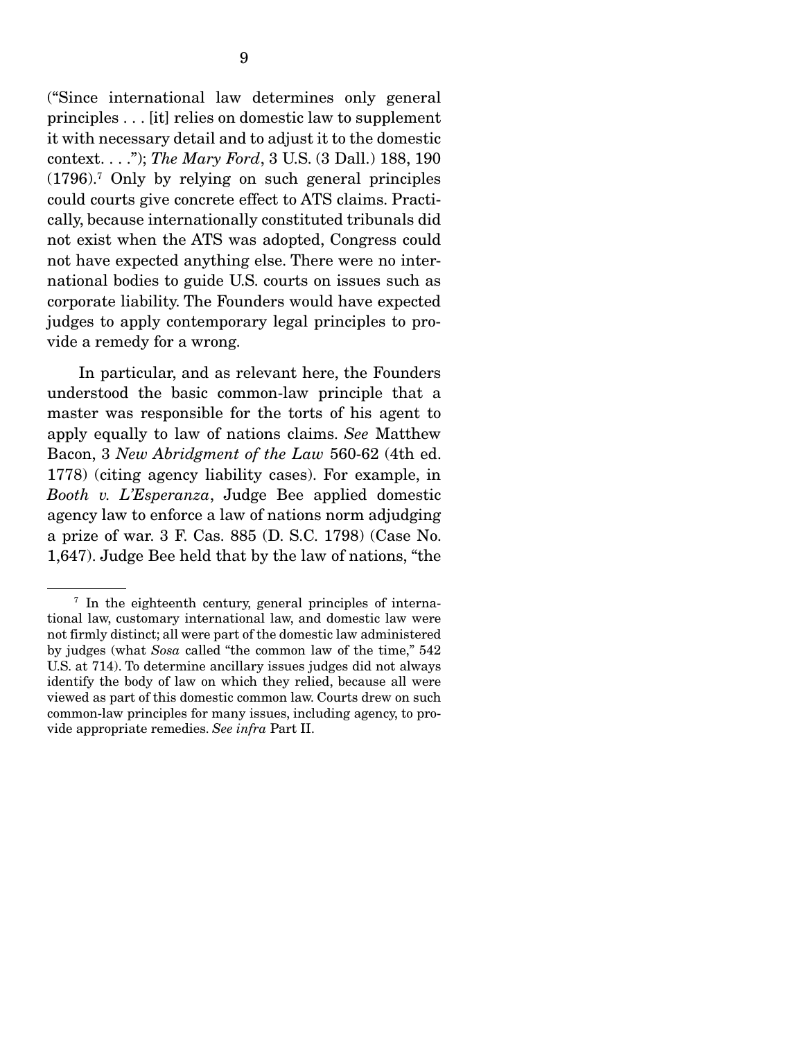("Since international law determines only general principles . . . [it] relies on domestic law to supplement it with necessary detail and to adjust it to the domestic context. . . ."); *The Mary Ford*, 3 U.S. (3 Dall.) 188, 190 (1796).7 Only by relying on such general principles could courts give concrete effect to ATS claims. Practically, because internationally constituted tribunals did not exist when the ATS was adopted, Congress could not have expected anything else. There were no international bodies to guide U.S. courts on issues such as corporate liability. The Founders would have expected judges to apply contemporary legal principles to provide a remedy for a wrong.

 In particular, and as relevant here, the Founders understood the basic common-law principle that a master was responsible for the torts of his agent to apply equally to law of nations claims. *See* Matthew Bacon, 3 *New Abridgment of the Law* 560-62 (4th ed. 1778) (citing agency liability cases). For example, in *Booth v. L'Esperanza*, Judge Bee applied domestic agency law to enforce a law of nations norm adjudging a prize of war. 3 F. Cas. 885 (D. S.C. 1798) (Case No. 1,647). Judge Bee held that by the law of nations, "the

<sup>&</sup>lt;sup>7</sup> In the eighteenth century, general principles of international law, customary international law, and domestic law were not firmly distinct; all were part of the domestic law administered by judges (what *Sosa* called "the common law of the time," 542 U.S. at 714). To determine ancillary issues judges did not always identify the body of law on which they relied, because all were viewed as part of this domestic common law. Courts drew on such common-law principles for many issues, including agency, to provide appropriate remedies. *See infra* Part II.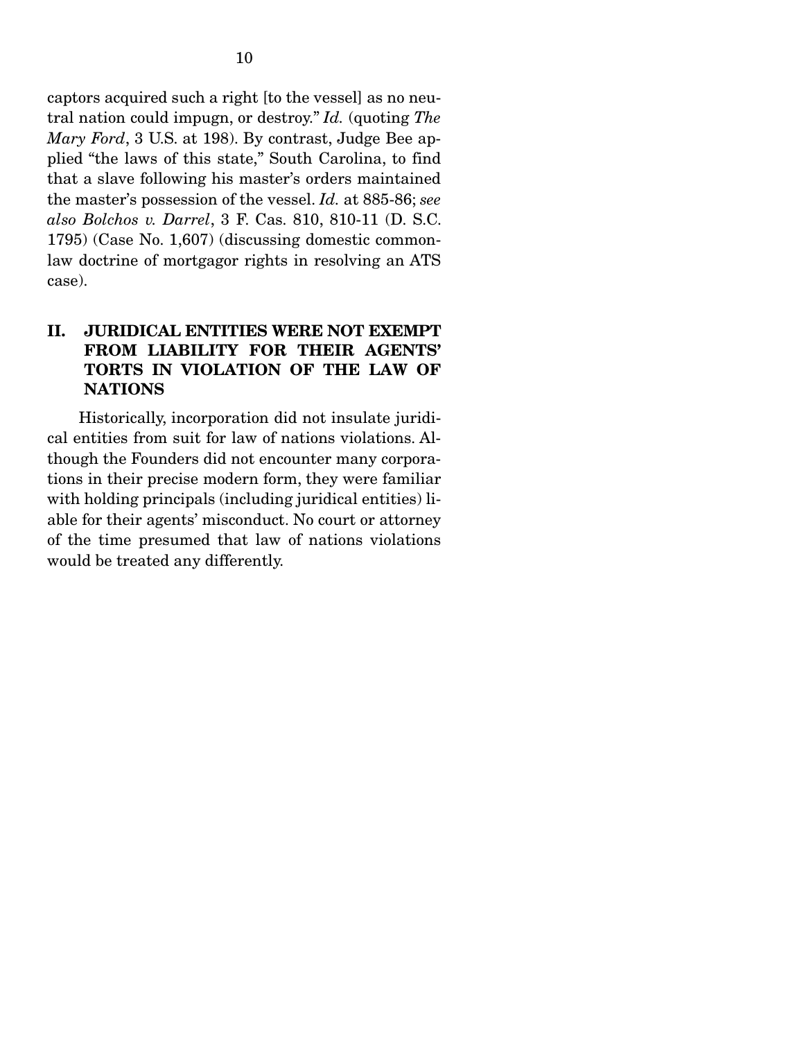captors acquired such a right [to the vessel] as no neutral nation could impugn, or destroy." *Id.* (quoting *The Mary Ford*, 3 U.S. at 198). By contrast, Judge Bee applied "the laws of this state," South Carolina, to find that a slave following his master's orders maintained the master's possession of the vessel. *Id.* at 885-86; *see also Bolchos v. Darrel*, 3 F. Cas. 810, 810-11 (D. S.C. 1795) (Case No. 1,607) (discussing domestic commonlaw doctrine of mortgagor rights in resolving an ATS case).

### II. JURIDICAL ENTITIES WERE NOT EXEMPT FROM LIABILITY FOR THEIR AGENTS' TORTS IN VIOLATION OF THE LAW OF **NATIONS**

 Historically, incorporation did not insulate juridical entities from suit for law of nations violations. Although the Founders did not encounter many corporations in their precise modern form, they were familiar with holding principals (including juridical entities) liable for their agents' misconduct. No court or attorney of the time presumed that law of nations violations would be treated any differently.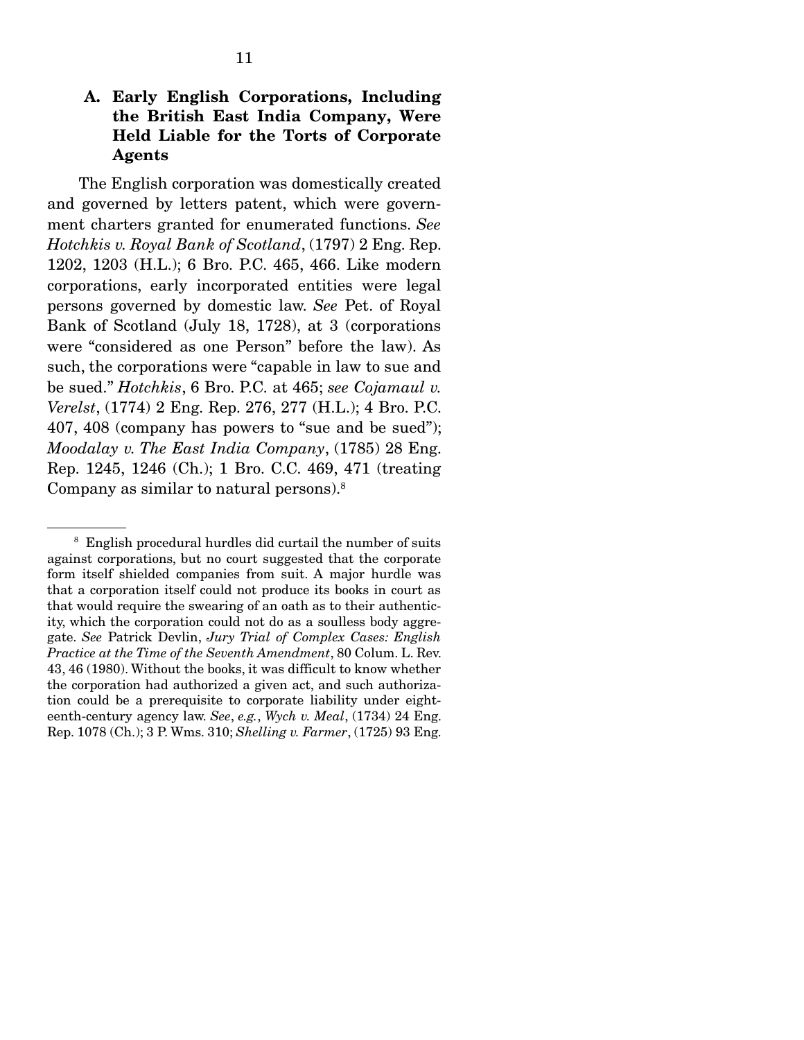### A. Early English Corporations, Including the British East India Company, Were Held Liable for the Torts of Corporate Agents

 The English corporation was domestically created and governed by letters patent, which were government charters granted for enumerated functions. *See Hotchkis v. Royal Bank of Scotland*, (1797) 2 Eng. Rep. 1202, 1203 (H.L.); 6 Bro. P.C. 465, 466. Like modern corporations, early incorporated entities were legal persons governed by domestic law. *See* Pet. of Royal Bank of Scotland (July 18, 1728), at 3 (corporations were "considered as one Person" before the law). As such, the corporations were "capable in law to sue and be sued." *Hotchkis*, 6 Bro. P.C. at 465; *see Cojamaul v. Verelst*, (1774) 2 Eng. Rep. 276, 277 (H.L.); 4 Bro. P.C. 407, 408 (company has powers to "sue and be sued"); *Moodalay v. The East India Company*, (1785) 28 Eng. Rep. 1245, 1246 (Ch.); 1 Bro. C.C. 469, 471 (treating Company as similar to natural persons).8

<sup>&</sup>lt;sup>8</sup> English procedural hurdles did curtail the number of suits against corporations, but no court suggested that the corporate form itself shielded companies from suit. A major hurdle was that a corporation itself could not produce its books in court as that would require the swearing of an oath as to their authenticity, which the corporation could not do as a soulless body aggregate. *See* Patrick Devlin, *Jury Trial of Complex Cases: English Practice at the Time of the Seventh Amendment*, 80 Colum. L. Rev. 43, 46 (1980). Without the books, it was difficult to know whether the corporation had authorized a given act, and such authorization could be a prerequisite to corporate liability under eighteenth-century agency law. *See*, *e.g.*, *Wych v. Meal*, (1734) 24 Eng. Rep. 1078 (Ch.); 3 P. Wms. 310; *Shelling v. Farmer*, (1725) 93 Eng.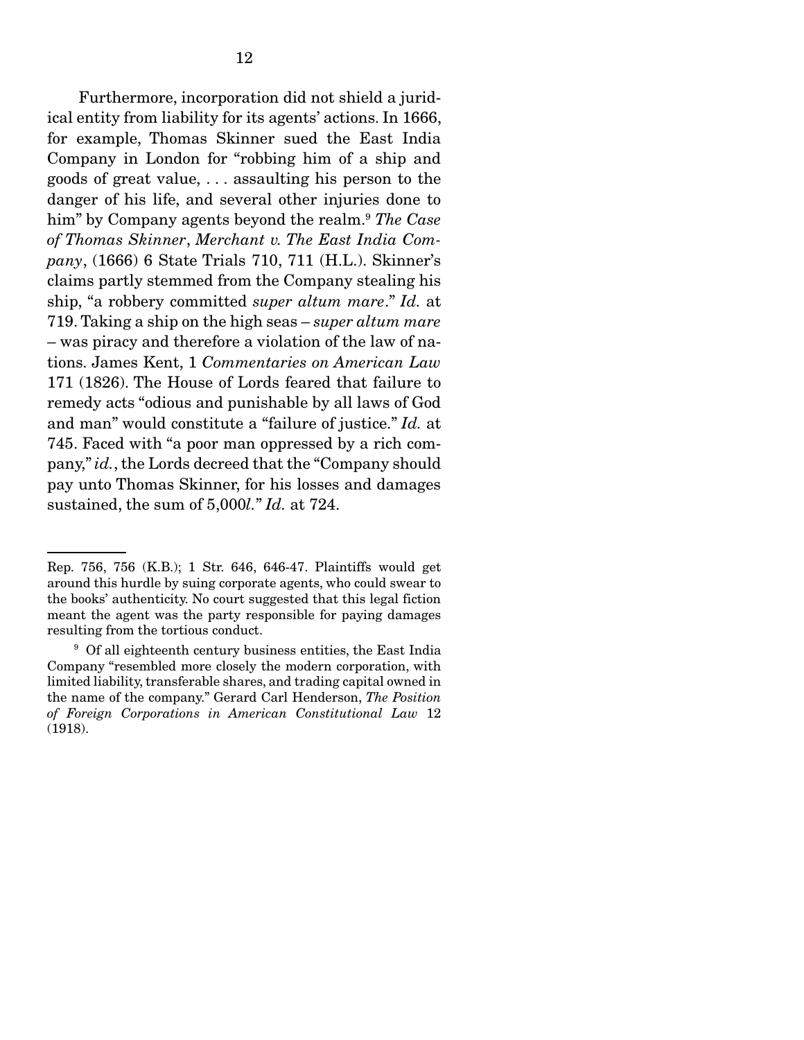Furthermore, incorporation did not shield a juridical entity from liability for its agents' actions. In 1666, for example, Thomas Skinner sued the East India Company in London for "robbing him of a ship and goods of great value, . . . assaulting his person to the danger of his life, and several other injuries done to him" by Company agents beyond the realm.9 *The Case of Thomas Skinner*, *Merchant v. The East India Company*, (1666) 6 State Trials 710, 711 (H.L.). Skinner's claims partly stemmed from the Company stealing his ship, "a robbery committed *super altum mare*." *Id.* at 719. Taking a ship on the high seas – *super altum mare* – was piracy and therefore a violation of the law of nations. James Kent, 1 *Commentaries on American Law*  171 (1826). The House of Lords feared that failure to remedy acts "odious and punishable by all laws of God and man" would constitute a "failure of justice." *Id.* at 745. Faced with "a poor man oppressed by a rich company," *id.*, the Lords decreed that the "Company should pay unto Thomas Skinner, for his losses and damages sustained, the sum of 5,000*l.*" *Id.* at 724.

Rep. 756, 756 (K.B.); 1 Str. 646, 646-47. Plaintiffs would get around this hurdle by suing corporate agents, who could swear to the books' authenticity. No court suggested that this legal fiction meant the agent was the party responsible for paying damages resulting from the tortious conduct.

<sup>&</sup>lt;sup>9</sup> Of all eighteenth century business entities, the East India Company "resembled more closely the modern corporation, with limited liability, transferable shares, and trading capital owned in the name of the company." Gerard Carl Henderson, *The Position of Foreign Corporations in American Constitutional Law* 12 (1918).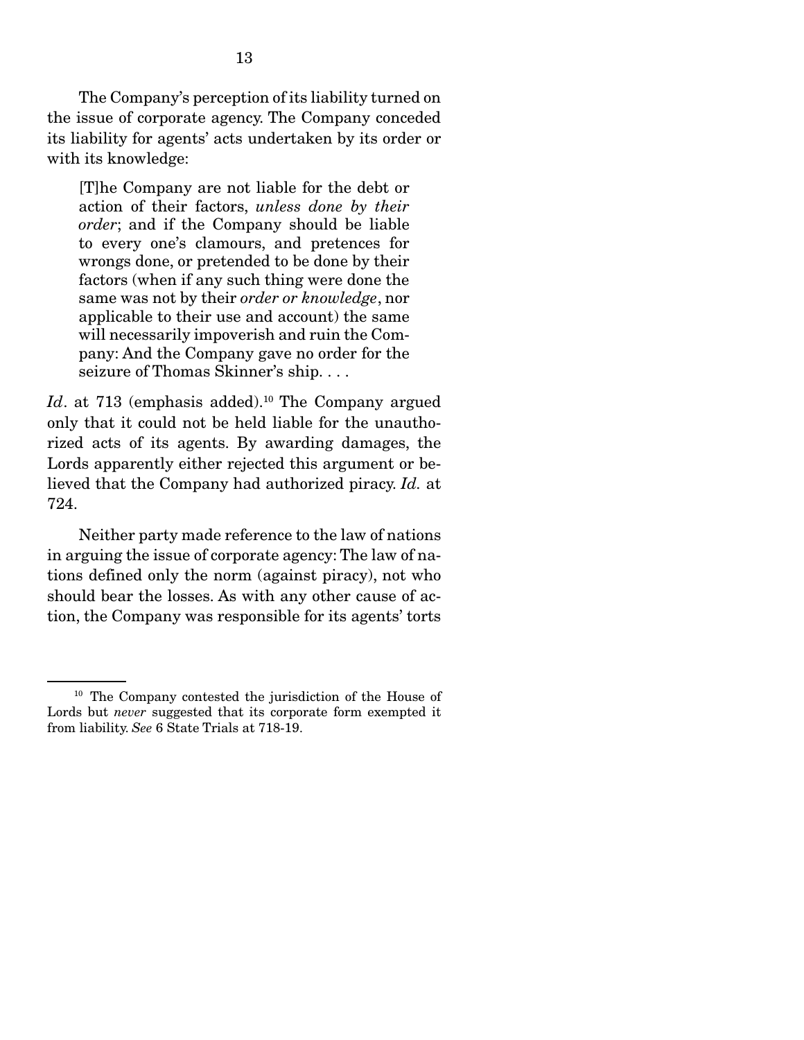The Company's perception of its liability turned on the issue of corporate agency. The Company conceded its liability for agents' acts undertaken by its order or with its knowledge:

[T]he Company are not liable for the debt or action of their factors, *unless done by their order*; and if the Company should be liable to every one's clamours, and pretences for wrongs done, or pretended to be done by their factors (when if any such thing were done the same was not by their *order or knowledge*, nor applicable to their use and account) the same will necessarily impoverish and ruin the Company: And the Company gave no order for the seizure of Thomas Skinner's ship. . . .

*Id.* at 713 (emphasis added).<sup>10</sup> The Company argued only that it could not be held liable for the unauthorized acts of its agents. By awarding damages, the Lords apparently either rejected this argument or believed that the Company had authorized piracy. *Id.* at 724.

 Neither party made reference to the law of nations in arguing the issue of corporate agency: The law of nations defined only the norm (against piracy), not who should bear the losses. As with any other cause of action, the Company was responsible for its agents' torts

<sup>10</sup> The Company contested the jurisdiction of the House of Lords but *never* suggested that its corporate form exempted it from liability. *See* 6 State Trials at 718-19.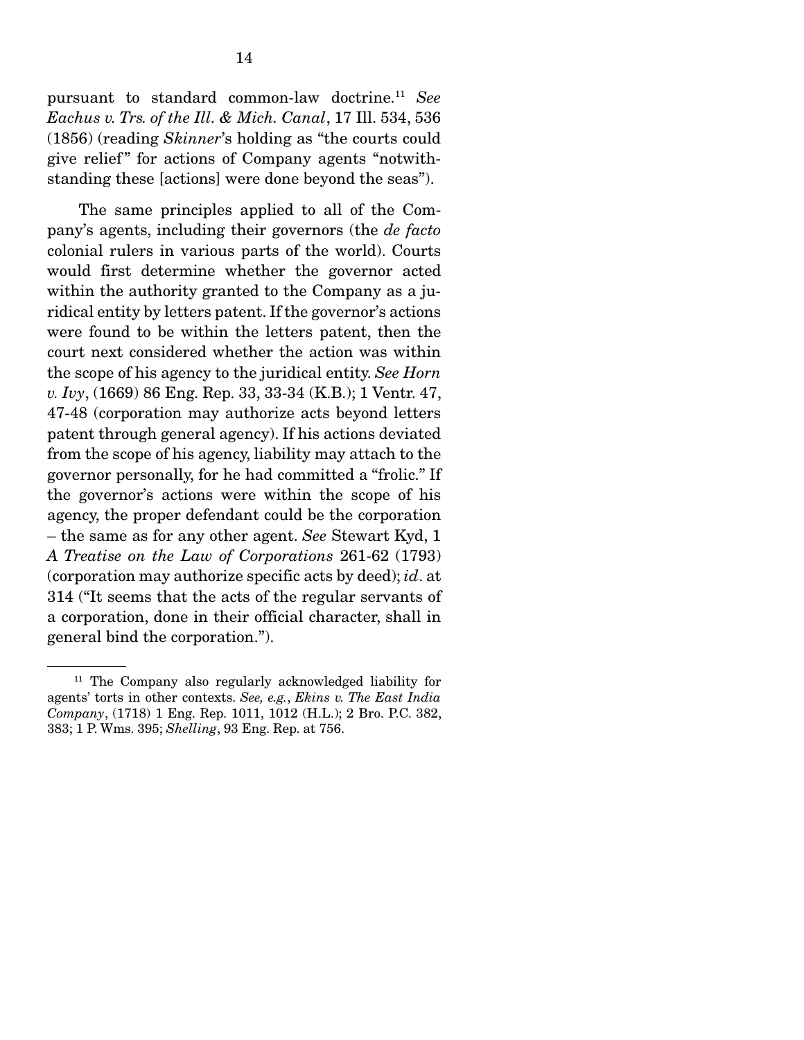pursuant to standard common-law doctrine.11 *See Eachus v. Trs. of the Ill. & Mich. Canal*, 17 Ill. 534, 536 (1856) (reading *Skinner*'s holding as "the courts could give relief" for actions of Company agents "notwithstanding these [actions] were done beyond the seas").

 The same principles applied to all of the Company's agents, including their governors (the *de facto* colonial rulers in various parts of the world). Courts would first determine whether the governor acted within the authority granted to the Company as a juridical entity by letters patent. If the governor's actions were found to be within the letters patent, then the court next considered whether the action was within the scope of his agency to the juridical entity. *See Horn v. Ivy*, (1669) 86 Eng. Rep. 33, 33-34 (K.B.); 1 Ventr. 47, 47-48 (corporation may authorize acts beyond letters patent through general agency). If his actions deviated from the scope of his agency, liability may attach to the governor personally, for he had committed a "frolic." If the governor's actions were within the scope of his agency, the proper defendant could be the corporation – the same as for any other agent. *See* Stewart Kyd, 1 *A Treatise on the Law of Corporations* 261-62 (1793) (corporation may authorize specific acts by deed); *id*. at 314 ("It seems that the acts of the regular servants of a corporation, done in their official character, shall in general bind the corporation.").

<sup>11</sup> The Company also regularly acknowledged liability for agents' torts in other contexts. *See, e.g.*, *Ekins v. The East India Company*, (1718) 1 Eng. Rep. 1011, 1012 (H.L.); 2 Bro. P.C. 382, 383; 1 P. Wms. 395; *Shelling*, 93 Eng. Rep. at 756.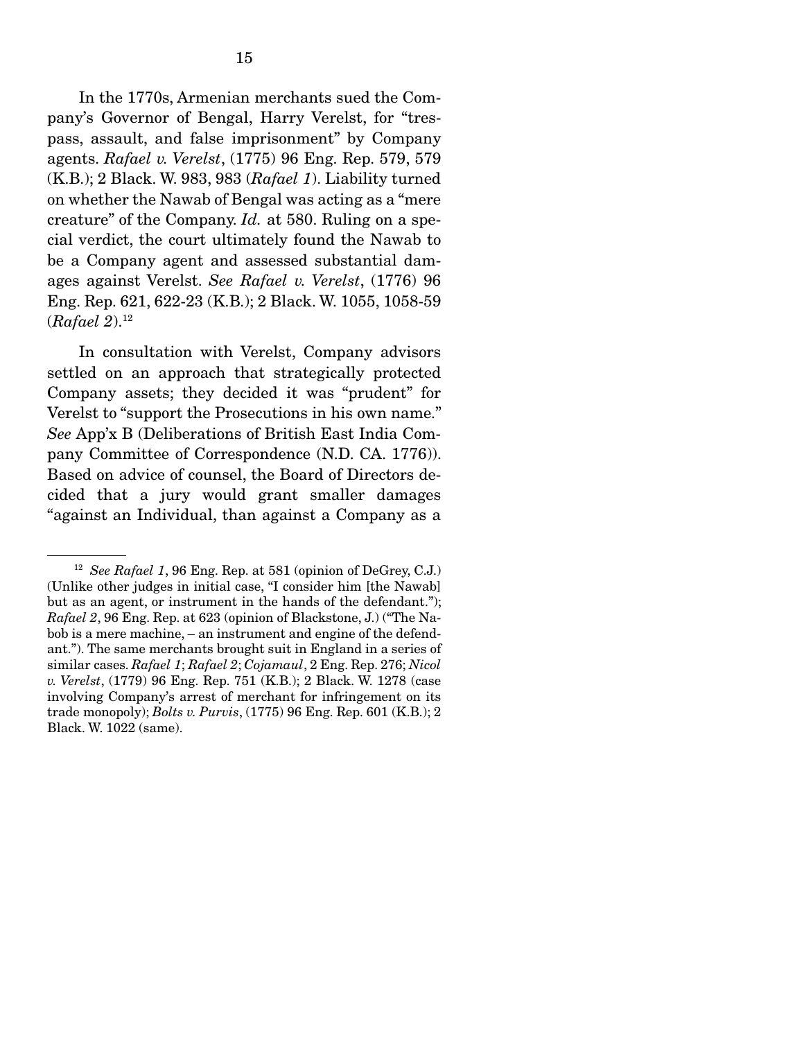In the 1770s, Armenian merchants sued the Company's Governor of Bengal, Harry Verelst, for "trespass, assault, and false imprisonment" by Company agents. *Rafael v. Verelst*, (1775) 96 Eng. Rep. 579, 579 (K.B.); 2 Black. W. 983, 983 (*Rafael 1*). Liability turned on whether the Nawab of Bengal was acting as a "mere creature" of the Company. *Id.* at 580. Ruling on a special verdict, the court ultimately found the Nawab to be a Company agent and assessed substantial damages against Verelst. *See Rafael v. Verelst*, (1776) 96 Eng. Rep. 621, 622-23 (K.B.); 2 Black. W. 1055, 1058-59 (*Rafael 2*).12

 In consultation with Verelst, Company advisors settled on an approach that strategically protected Company assets; they decided it was "prudent" for Verelst to "support the Prosecutions in his own name." *See* App'x B (Deliberations of British East India Company Committee of Correspondence (N.D. CA. 1776)). Based on advice of counsel, the Board of Directors decided that a jury would grant smaller damages "against an Individual, than against a Company as a

<sup>12</sup> *See Rafael 1*, 96 Eng. Rep. at 581 (opinion of DeGrey, C.J.) (Unlike other judges in initial case, "I consider him [the Nawab] but as an agent, or instrument in the hands of the defendant."); *Rafael 2*, 96 Eng. Rep. at 623 (opinion of Blackstone, J.) ("The Nabob is a mere machine, – an instrument and engine of the defendant."). The same merchants brought suit in England in a series of similar cases. *Rafael 1*; *Rafael 2*; *Cojamaul*, 2 Eng. Rep. 276; *Nicol v. Verelst*, (1779) 96 Eng. Rep. 751 (K.B.); 2 Black. W. 1278 (case involving Company's arrest of merchant for infringement on its trade monopoly); *Bolts v. Purvis*, (1775) 96 Eng. Rep. 601 (K.B.); 2 Black. W. 1022 (same).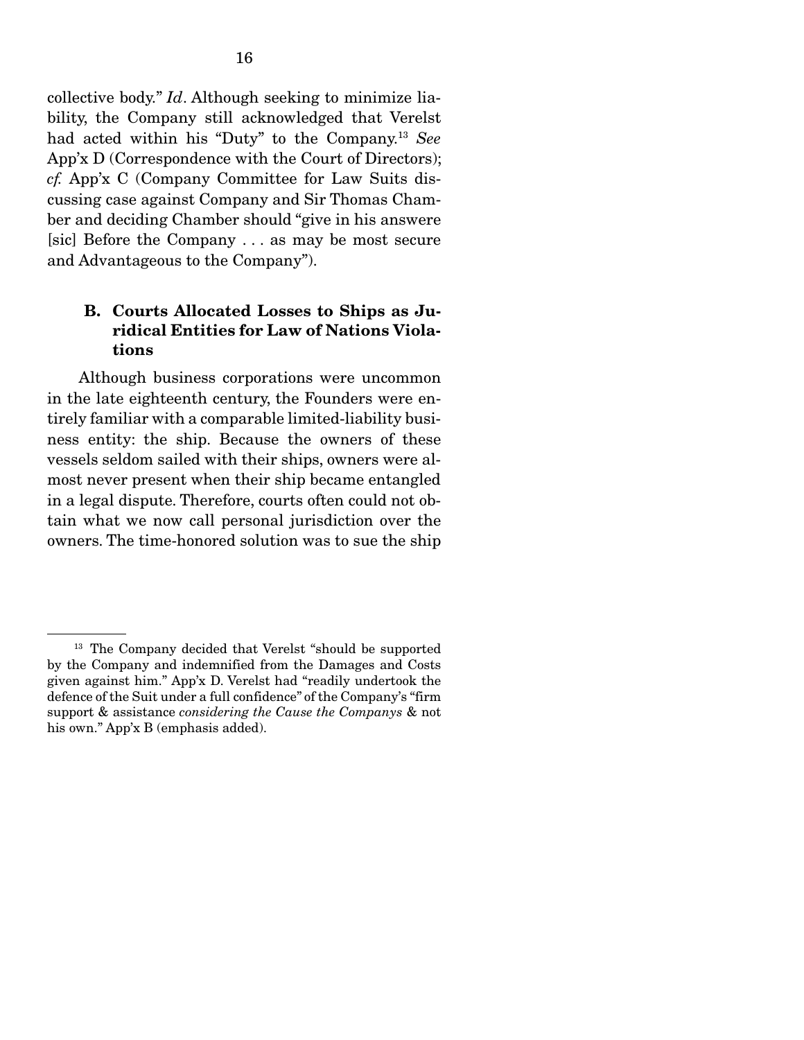collective body." *Id*. Although seeking to minimize liability, the Company still acknowledged that Verelst had acted within his "Duty" to the Company.13 *See* App'x D (Correspondence with the Court of Directors); *cf.* App'x C (Company Committee for Law Suits discussing case against Company and Sir Thomas Chamber and deciding Chamber should "give in his answere [sic] Before the Company . . . as may be most secure and Advantageous to the Company").

### B. Courts Allocated Losses to Ships as Juridical Entities for Law of Nations Violations

 Although business corporations were uncommon in the late eighteenth century, the Founders were entirely familiar with a comparable limited-liability business entity: the ship. Because the owners of these vessels seldom sailed with their ships, owners were almost never present when their ship became entangled in a legal dispute. Therefore, courts often could not obtain what we now call personal jurisdiction over the owners. The time-honored solution was to sue the ship

<sup>&</sup>lt;sup>13</sup> The Company decided that Verelst "should be supported by the Company and indemnified from the Damages and Costs given against him." App'x D. Verelst had "readily undertook the defence of the Suit under a full confidence" of the Company's "firm support & assistance *considering the Cause the Companys* & not his own." App'x B (emphasis added).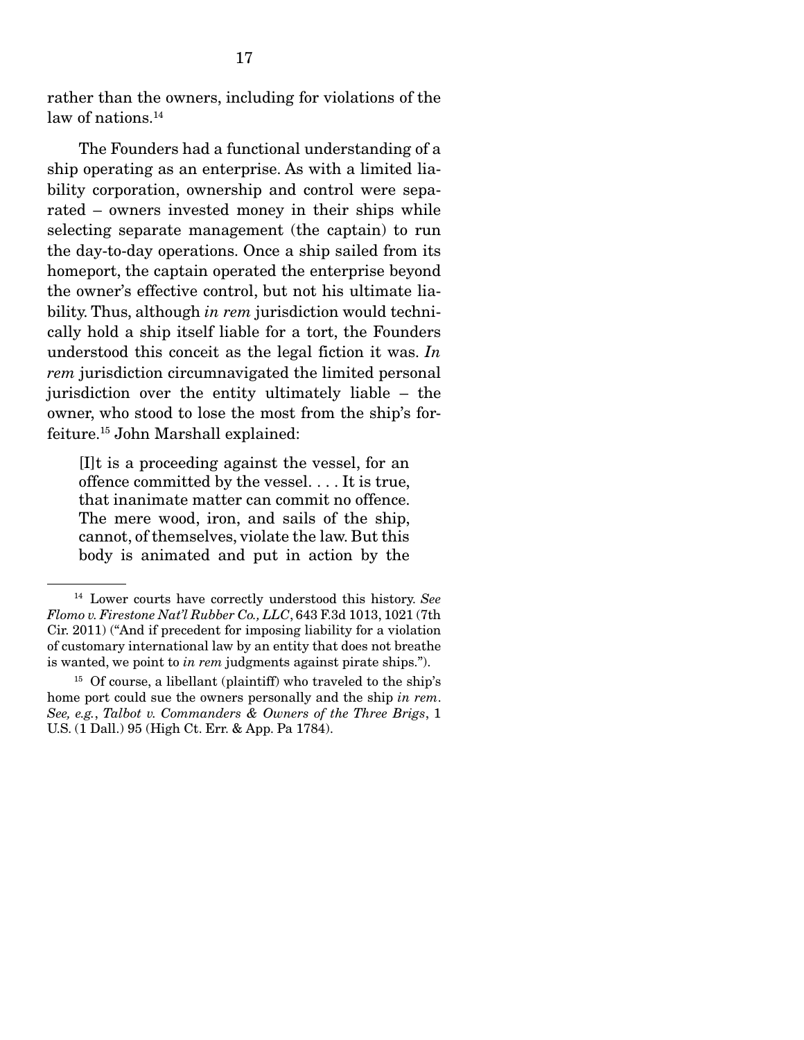rather than the owners, including for violations of the law of nations.<sup>14</sup>

 The Founders had a functional understanding of a ship operating as an enterprise. As with a limited liability corporation, ownership and control were separated – owners invested money in their ships while selecting separate management (the captain) to run the day-to-day operations. Once a ship sailed from its homeport, the captain operated the enterprise beyond the owner's effective control, but not his ultimate liability. Thus, although *in rem* jurisdiction would technically hold a ship itself liable for a tort, the Founders understood this conceit as the legal fiction it was. *In rem* jurisdiction circumnavigated the limited personal jurisdiction over the entity ultimately liable – the owner, who stood to lose the most from the ship's forfeiture.15 John Marshall explained:

[I]t is a proceeding against the vessel, for an offence committed by the vessel. . . . It is true, that inanimate matter can commit no offence. The mere wood, iron, and sails of the ship, cannot, of themselves, violate the law. But this body is animated and put in action by the

<sup>14</sup> Lower courts have correctly understood this history. *See Flomo v. Firestone Nat'l Rubber Co., LLC*, 643 F.3d 1013, 1021 (7th Cir. 2011) ("And if precedent for imposing liability for a violation of customary international law by an entity that does not breathe is wanted, we point to *in rem* judgments against pirate ships.").

 $15$  Of course, a libellant (plaintiff) who traveled to the ship's home port could sue the owners personally and the ship *in rem*. *See, e.g.*, *Talbot v. Commanders & Owners of the Three Brigs*, 1 U.S. (1 Dall.) 95 (High Ct. Err. & App. Pa 1784).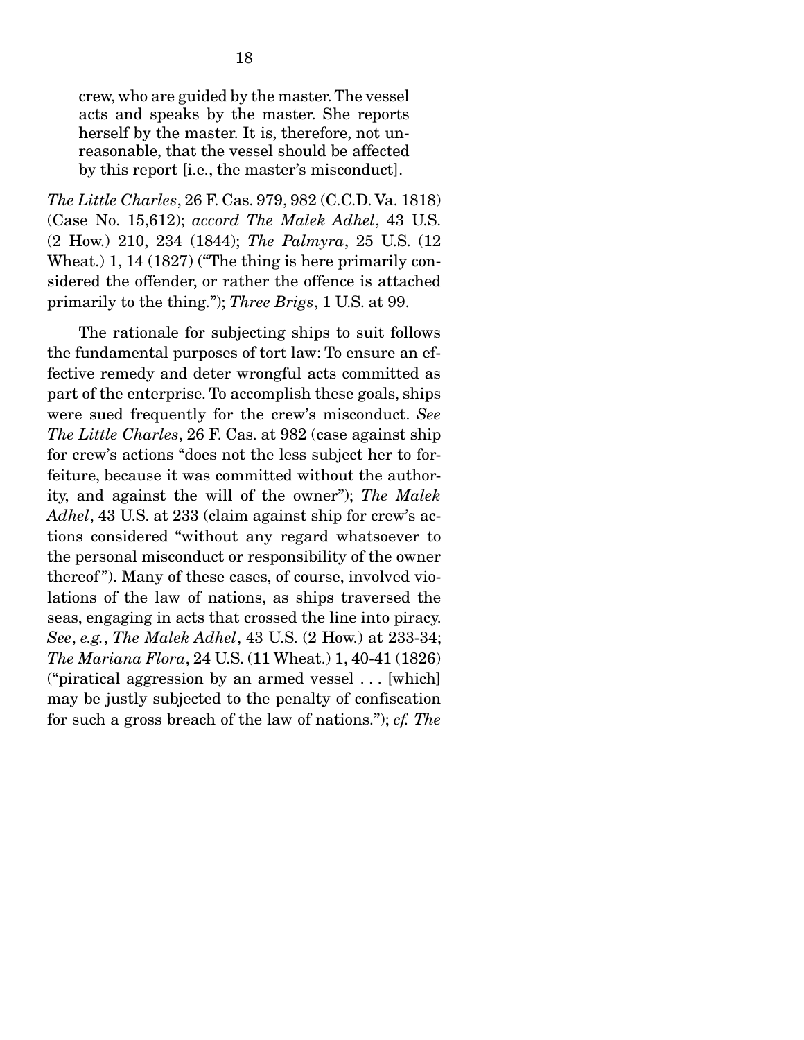crew, who are guided by the master. The vessel acts and speaks by the master. She reports herself by the master. It is, therefore, not unreasonable, that the vessel should be affected by this report [i.e., the master's misconduct].

*The Little Charles*, 26 F. Cas. 979, 982 (C.C.D. Va. 1818) (Case No. 15,612); *accord The Malek Adhel*, 43 U.S. (2 How.) 210, 234 (1844); *The Palmyra*, 25 U.S. (12 Wheat.) 1, 14 (1827) ("The thing is here primarily considered the offender, or rather the offence is attached primarily to the thing."); *Three Brigs*, 1 U.S. at 99.

 The rationale for subjecting ships to suit follows the fundamental purposes of tort law: To ensure an effective remedy and deter wrongful acts committed as part of the enterprise. To accomplish these goals, ships were sued frequently for the crew's misconduct. *See The Little Charles*, 26 F. Cas. at 982 (case against ship for crew's actions "does not the less subject her to forfeiture, because it was committed without the authority, and against the will of the owner"); *The Malek Adhel*, 43 U.S. at 233 (claim against ship for crew's actions considered "without any regard whatsoever to the personal misconduct or responsibility of the owner thereof "). Many of these cases, of course, involved violations of the law of nations, as ships traversed the seas, engaging in acts that crossed the line into piracy. *See*, *e.g.*, *The Malek Adhel*, 43 U.S. (2 How.) at 233-34; *The Mariana Flora*, 24 U.S. (11 Wheat.) 1, 40-41 (1826) ("piratical aggression by an armed vessel . . . [which] may be justly subjected to the penalty of confiscation for such a gross breach of the law of nations."); *cf. The*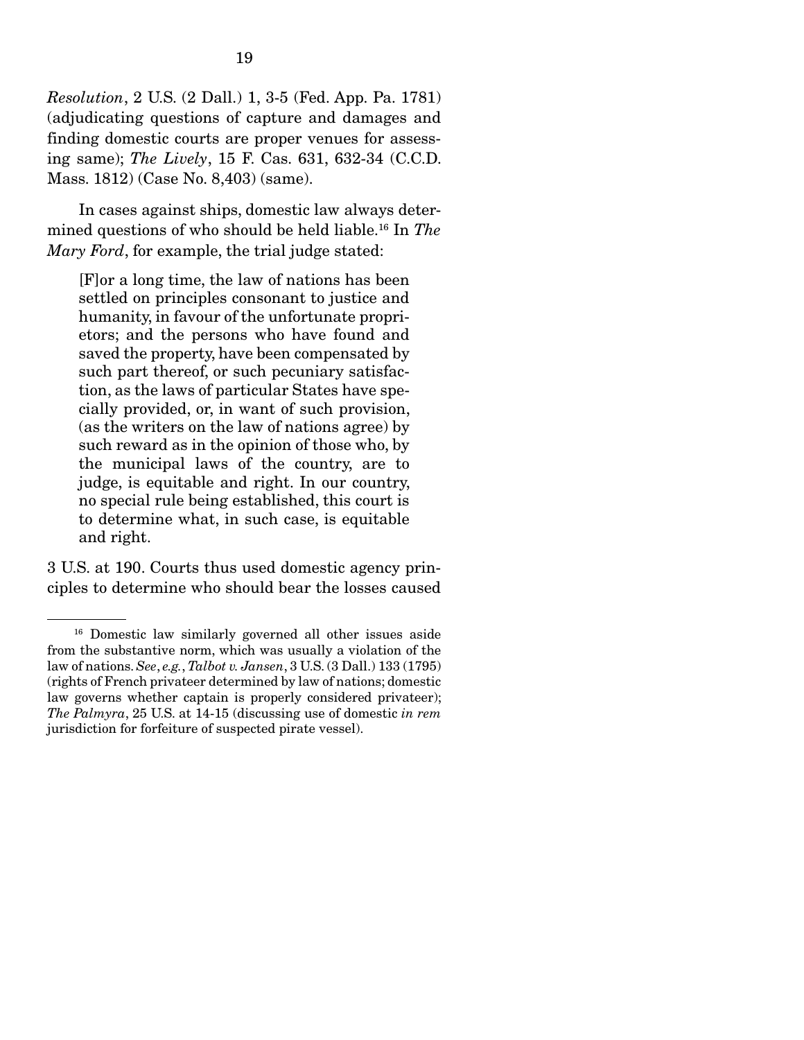*Resolution*, 2 U.S. (2 Dall.) 1, 3-5 (Fed. App. Pa. 1781) (adjudicating questions of capture and damages and finding domestic courts are proper venues for assessing same); *The Lively*, 15 F. Cas. 631, 632-34 (C.C.D. Mass. 1812) (Case No. 8,403) (same).

 In cases against ships, domestic law always determined questions of who should be held liable.16 In *The Mary Ford*, for example, the trial judge stated:

[F]or a long time, the law of nations has been settled on principles consonant to justice and humanity, in favour of the unfortunate proprietors; and the persons who have found and saved the property, have been compensated by such part thereof, or such pecuniary satisfaction, as the laws of particular States have specially provided, or, in want of such provision, (as the writers on the law of nations agree) by such reward as in the opinion of those who, by the municipal laws of the country, are to judge, is equitable and right. In our country, no special rule being established, this court is to determine what, in such case, is equitable and right.

3 U.S. at 190. Courts thus used domestic agency principles to determine who should bear the losses caused

<sup>16</sup> Domestic law similarly governed all other issues aside from the substantive norm, which was usually a violation of the law of nations. *See*, *e.g.*, *Talbot v. Jansen*, 3 U.S. (3 Dall.) 133 (1795) (rights of French privateer determined by law of nations; domestic law governs whether captain is properly considered privateer); *The Palmyra*, 25 U.S. at 14-15 (discussing use of domestic *in rem*  jurisdiction for forfeiture of suspected pirate vessel).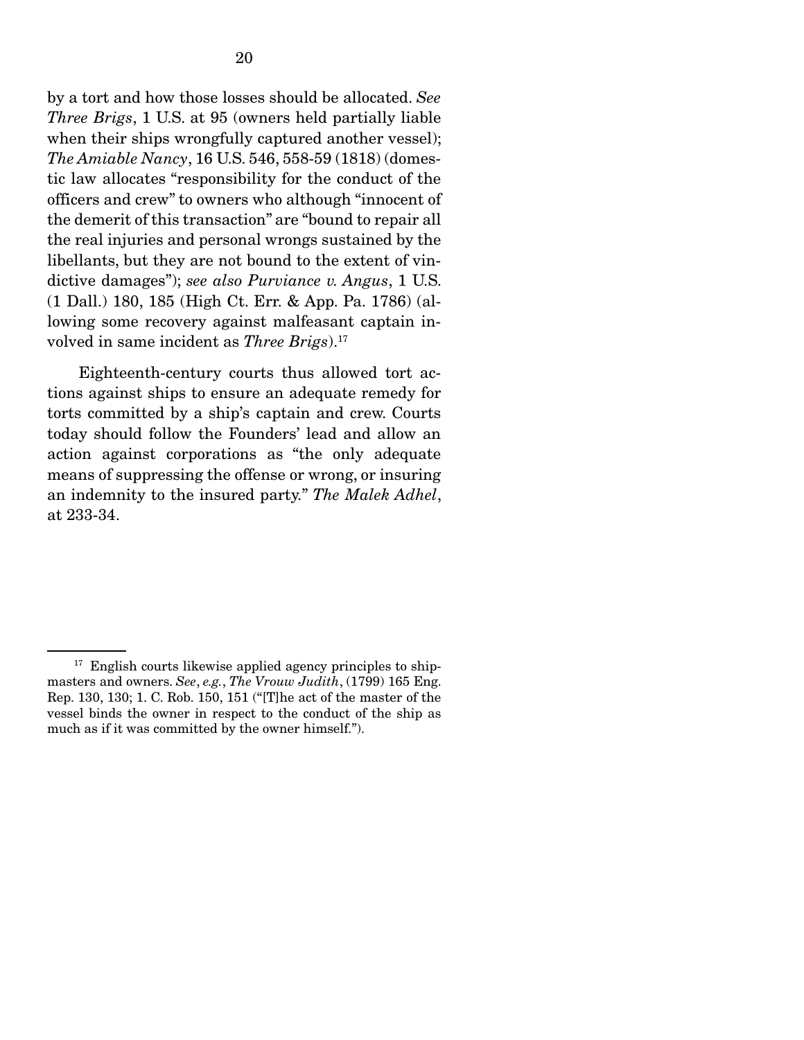by a tort and how those losses should be allocated. *See Three Brigs*, 1 U.S. at 95 (owners held partially liable when their ships wrongfully captured another vessel); *The Amiable Nancy*, 16 U.S. 546, 558-59 (1818) (domestic law allocates "responsibility for the conduct of the officers and crew" to owners who although "innocent of the demerit of this transaction" are "bound to repair all the real injuries and personal wrongs sustained by the libellants, but they are not bound to the extent of vindictive damages"); *see also Purviance v. Angus*, 1 U.S. (1 Dall.) 180, 185 (High Ct. Err. & App. Pa. 1786) (allowing some recovery against malfeasant captain involved in same incident as *Three Brigs*).<sup>17</sup>

 Eighteenth-century courts thus allowed tort actions against ships to ensure an adequate remedy for torts committed by a ship's captain and crew. Courts today should follow the Founders' lead and allow an action against corporations as "the only adequate means of suppressing the offense or wrong, or insuring an indemnity to the insured party." *The Malek Adhel*, at 233-34.

 $17$  English courts likewise applied agency principles to shipmasters and owners. *See*, *e.g.*, *The Vrouw Judith*, (1799) 165 Eng. Rep. 130, 130; 1. C. Rob. 150, 151 ("[T]he act of the master of the vessel binds the owner in respect to the conduct of the ship as much as if it was committed by the owner himself.").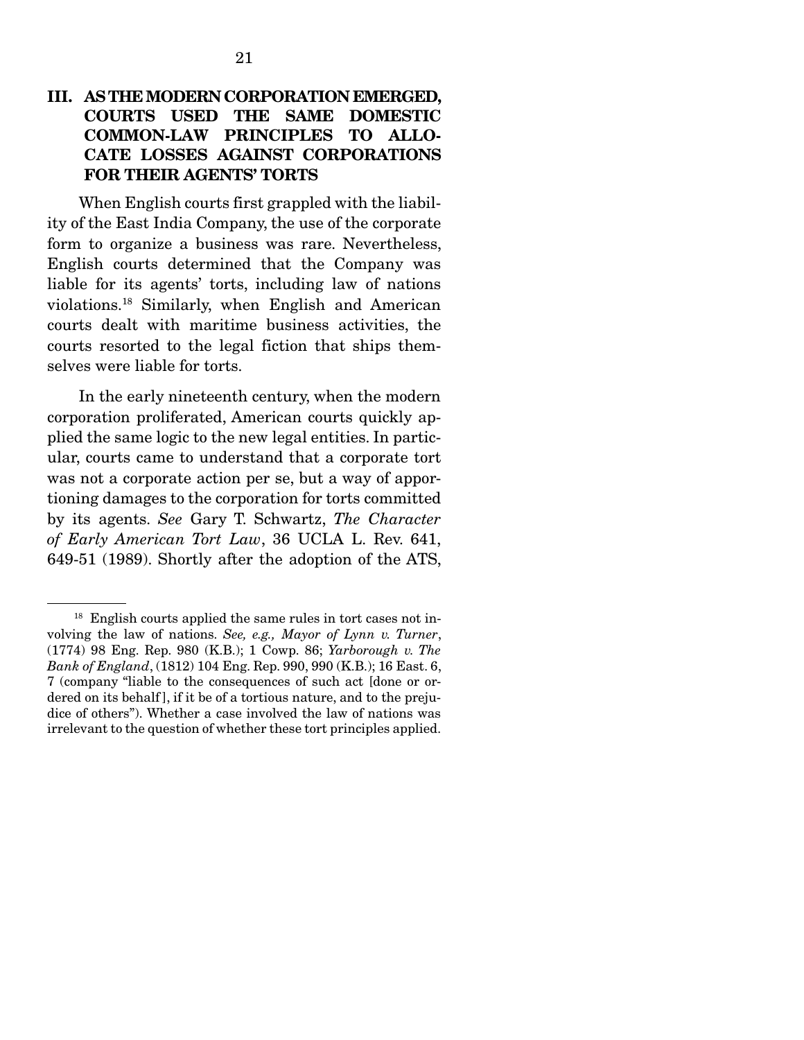### III. AS THE MODERN CORPORATION EMERGED, COURTS USED THE SAME DOMESTIC COMMON-LAW PRINCIPLES TO ALLO-CATE LOSSES AGAINST CORPORATIONS FOR THEIR AGENTS' TORTS

 When English courts first grappled with the liability of the East India Company, the use of the corporate form to organize a business was rare. Nevertheless, English courts determined that the Company was liable for its agents' torts, including law of nations violations.18 Similarly, when English and American courts dealt with maritime business activities, the courts resorted to the legal fiction that ships themselves were liable for torts.

 In the early nineteenth century, when the modern corporation proliferated, American courts quickly applied the same logic to the new legal entities. In particular, courts came to understand that a corporate tort was not a corporate action per se, but a way of apportioning damages to the corporation for torts committed by its agents. *See* Gary T. Schwartz, *The Character of Early American Tort Law*, 36 UCLA L. Rev. 641, 649-51 (1989). Shortly after the adoption of the ATS,

<sup>&</sup>lt;sup>18</sup> English courts applied the same rules in tort cases not involving the law of nations. *See, e.g., Mayor of Lynn v. Turner*, (1774) 98 Eng. Rep. 980 (K.B.); 1 Cowp. 86; *Yarborough v. The Bank of England*, (1812) 104 Eng. Rep. 990, 990 (K.B.); 16 East. 6, 7 (company "liable to the consequences of such act [done or ordered on its behalf ], if it be of a tortious nature, and to the prejudice of others"). Whether a case involved the law of nations was irrelevant to the question of whether these tort principles applied.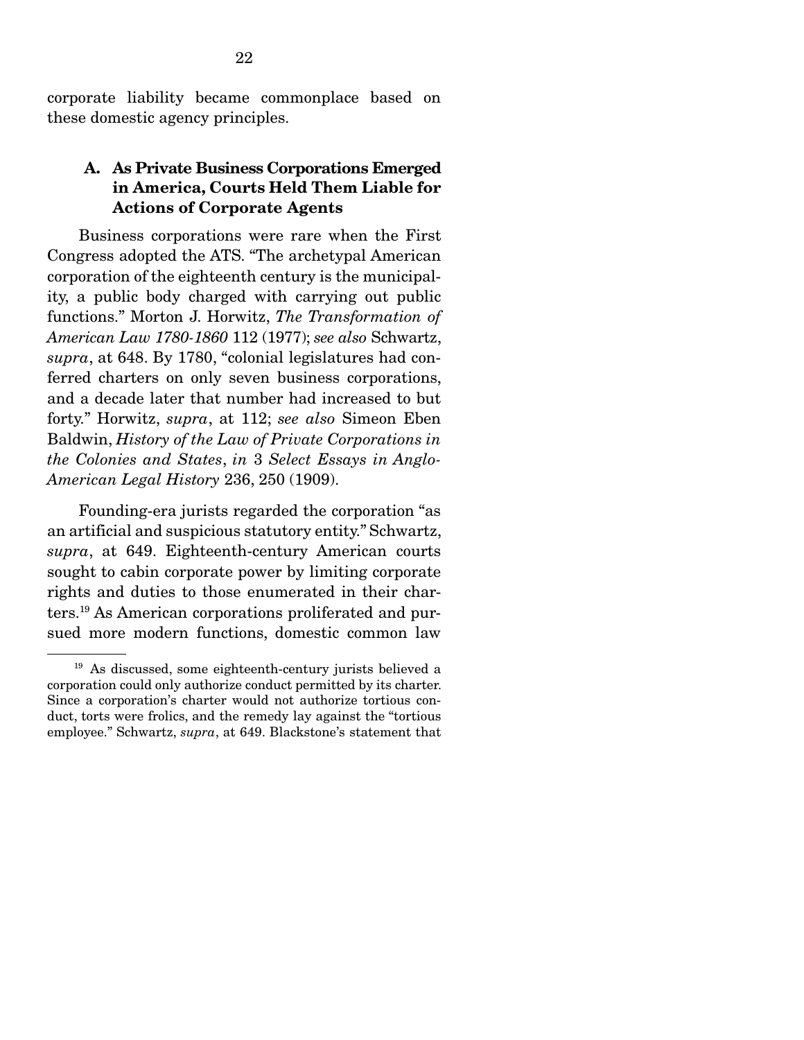corporate liability became commonplace based on these domestic agency principles.

### A. As Private Business Corporations Emerged in America, Courts Held Them Liable for Actions of Corporate Agents

 Business corporations were rare when the First Congress adopted the ATS. "The archetypal American corporation of the eighteenth century is the municipality, a public body charged with carrying out public functions." Morton J. Horwitz, *The Transformation of American Law 1780-1860* 112 (1977); *see also* Schwartz, *supra*, at 648. By 1780, "colonial legislatures had conferred charters on only seven business corporations, and a decade later that number had increased to but forty." Horwitz, *supra*, at 112; *see also* Simeon Eben Baldwin, *History of the Law of Private Corporations in the Colonies and States*, *in* 3 *Select Essays in Anglo-American Legal History* 236, 250 (1909).

 Founding-era jurists regarded the corporation "as an artificial and suspicious statutory entity." Schwartz, *supra*, at 649. Eighteenth-century American courts sought to cabin corporate power by limiting corporate rights and duties to those enumerated in their charters.19 As American corporations proliferated and pursued more modern functions, domestic common law

<sup>19</sup> As discussed, some eighteenth-century jurists believed a corporation could only authorize conduct permitted by its charter. Since a corporation's charter would not authorize tortious conduct, torts were frolics, and the remedy lay against the "tortious employee." Schwartz, *supra*, at 649. Blackstone's statement that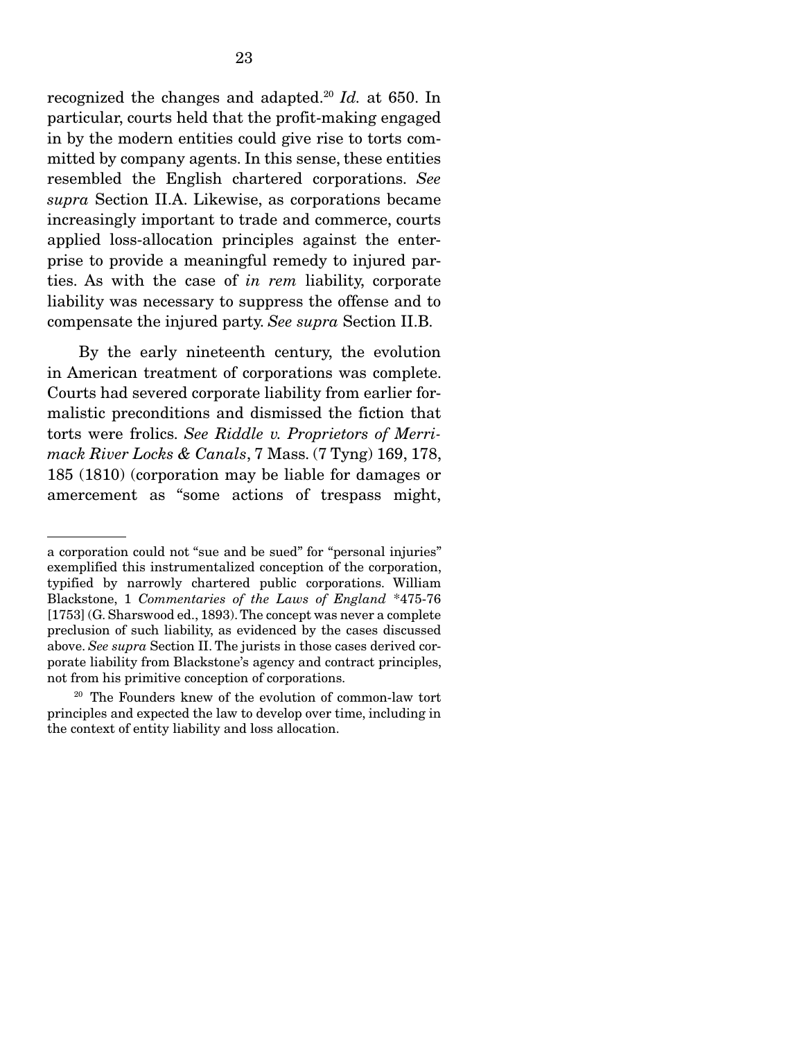recognized the changes and adapted.20 *Id.* at 650. In particular, courts held that the profit-making engaged in by the modern entities could give rise to torts committed by company agents. In this sense, these entities resembled the English chartered corporations. *See supra* Section II.A. Likewise, as corporations became increasingly important to trade and commerce, courts applied loss-allocation principles against the enterprise to provide a meaningful remedy to injured parties. As with the case of *in rem* liability, corporate liability was necessary to suppress the offense and to compensate the injured party. *See supra* Section II.B.

 By the early nineteenth century, the evolution in American treatment of corporations was complete. Courts had severed corporate liability from earlier formalistic preconditions and dismissed the fiction that torts were frolics. *See Riddle v. Proprietors of Merrimack River Locks & Canals*, 7 Mass. (7 Tyng) 169, 178, 185 (1810) (corporation may be liable for damages or amercement as "some actions of trespass might,

a corporation could not "sue and be sued" for "personal injuries" exemplified this instrumentalized conception of the corporation, typified by narrowly chartered public corporations. William Blackstone, 1 *Commentaries of the Laws of England* \*475-76 [1753] (G. Sharswood ed., 1893). The concept was never a complete preclusion of such liability, as evidenced by the cases discussed above. *See supra* Section II. The jurists in those cases derived corporate liability from Blackstone's agency and contract principles, not from his primitive conception of corporations.

<sup>20</sup> The Founders knew of the evolution of common-law tort principles and expected the law to develop over time, including in the context of entity liability and loss allocation.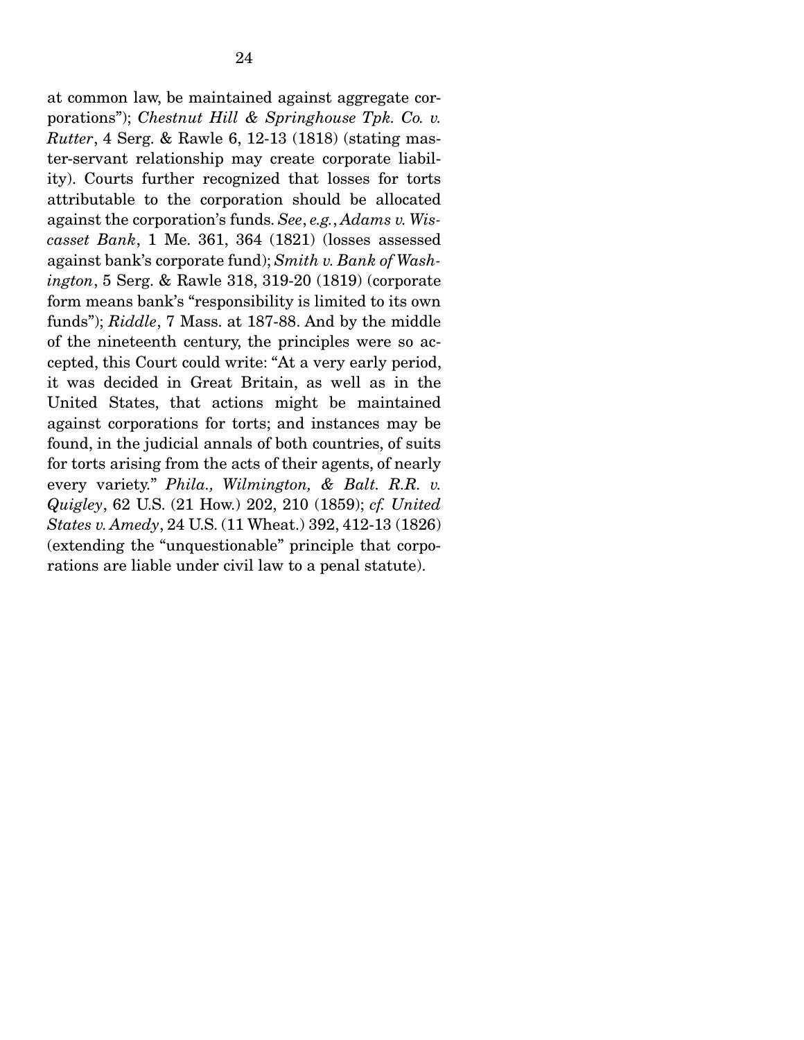at common law, be maintained against aggregate corporations"); *Chestnut Hill & Springhouse Tpk. Co. v. Rutter*, 4 Serg. & Rawle 6, 12-13 (1818) (stating master-servant relationship may create corporate liability). Courts further recognized that losses for torts attributable to the corporation should be allocated against the corporation's funds. *See*, *e.g.*, *Adams v. Wiscasset Bank*, 1 Me. 361, 364 (1821) (losses assessed against bank's corporate fund); *Smith v. Bank of Washington*, 5 Serg. & Rawle 318, 319-20 (1819) (corporate form means bank's "responsibility is limited to its own funds"); *Riddle*, 7 Mass. at 187-88. And by the middle of the nineteenth century, the principles were so accepted, this Court could write: "At a very early period, it was decided in Great Britain, as well as in the United States, that actions might be maintained against corporations for torts; and instances may be found, in the judicial annals of both countries, of suits for torts arising from the acts of their agents, of nearly every variety." *Phila., Wilmington, & Balt. R.R. v. Quigley*, 62 U.S. (21 How.) 202, 210 (1859); *cf. United States v. Amedy*, 24 U.S. (11 Wheat.) 392, 412-13 (1826) (extending the "unquestionable" principle that corporations are liable under civil law to a penal statute).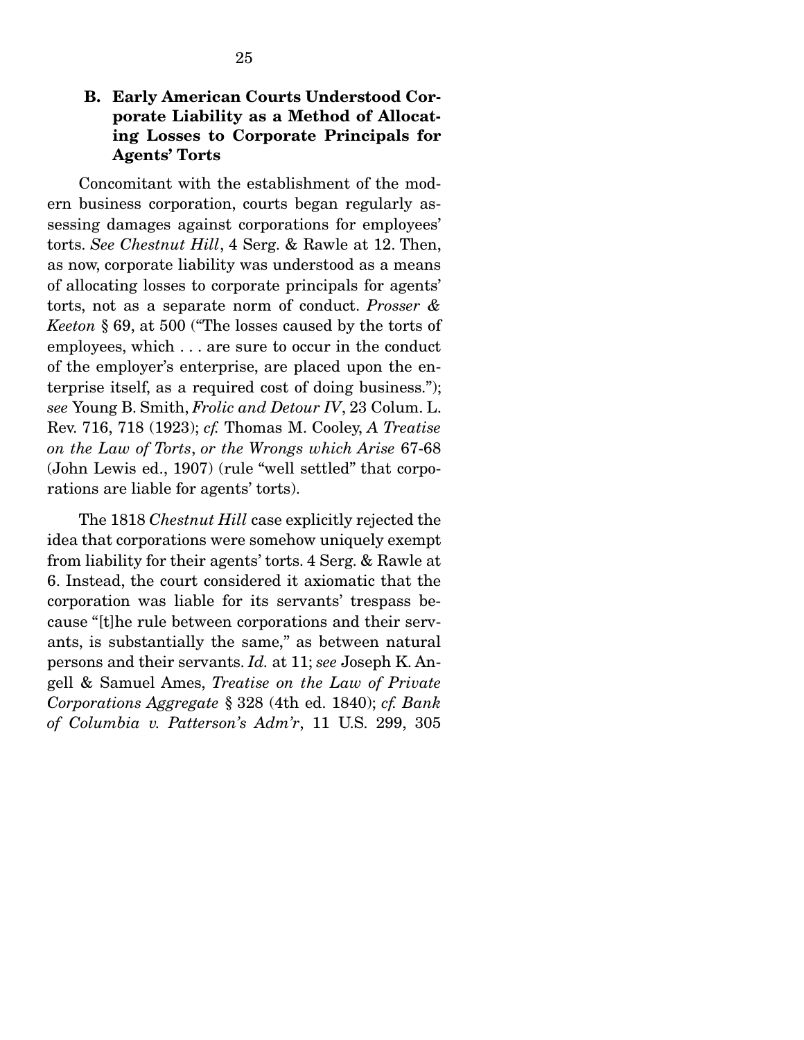### B. Early American Courts Understood Corporate Liability as a Method of Allocating Losses to Corporate Principals for Agents' Torts

 Concomitant with the establishment of the modern business corporation, courts began regularly assessing damages against corporations for employees' torts. *See Chestnut Hill*, 4 Serg. & Rawle at 12. Then, as now, corporate liability was understood as a means of allocating losses to corporate principals for agents' torts, not as a separate norm of conduct. *Prosser & Keeton* § 69, at 500 ("The losses caused by the torts of employees, which . . . are sure to occur in the conduct of the employer's enterprise, are placed upon the enterprise itself, as a required cost of doing business."); *see* Young B. Smith, *Frolic and Detour IV*, 23 Colum. L. Rev. 716, 718 (1923); *cf.* Thomas M. Cooley, *A Treatise on the Law of Torts*, *or the Wrongs which Arise* 67-68 (John Lewis ed., 1907) (rule "well settled" that corporations are liable for agents' torts).

 The 1818 *Chestnut Hill* case explicitly rejected the idea that corporations were somehow uniquely exempt from liability for their agents' torts. 4 Serg. & Rawle at 6. Instead, the court considered it axiomatic that the corporation was liable for its servants' trespass because "[t]he rule between corporations and their servants, is substantially the same," as between natural persons and their servants. *Id.* at 11; *see* Joseph K. Angell & Samuel Ames, *Treatise on the Law of Private Corporations Aggregate* § 328 (4th ed. 1840); *cf. Bank of Columbia v. Patterson's Adm'r*, 11 U.S. 299, 305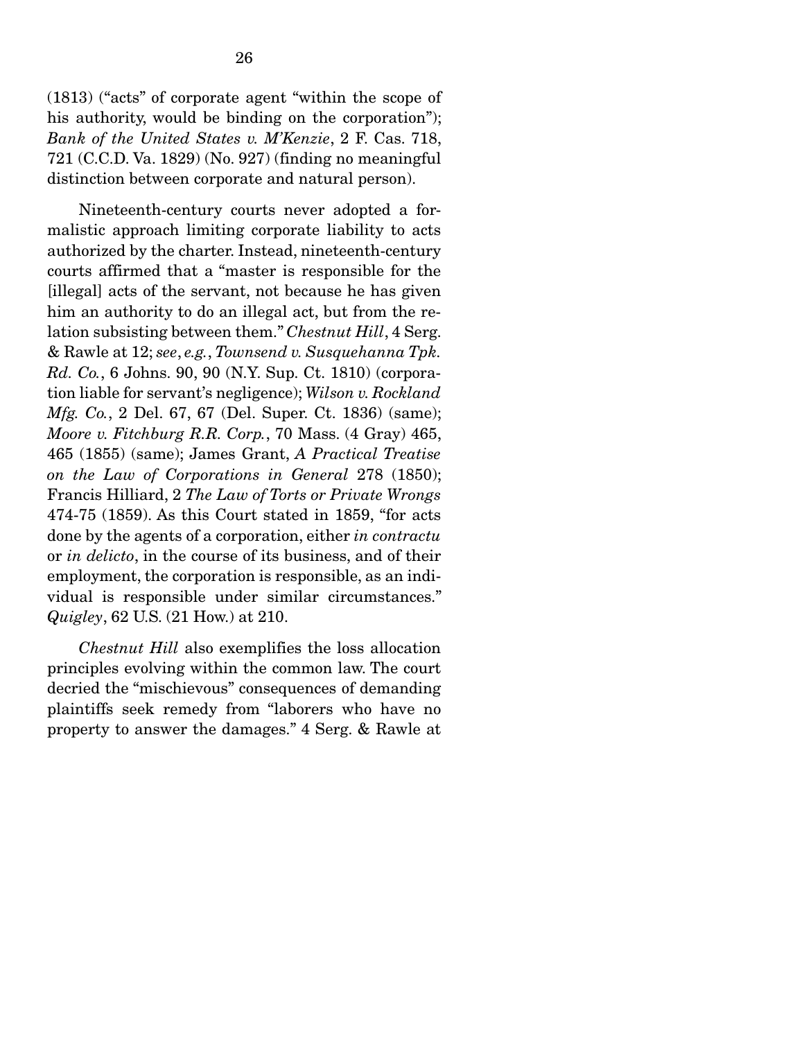(1813) ("acts" of corporate agent "within the scope of his authority, would be binding on the corporation"); *Bank of the United States v. M'Kenzie*, 2 F. Cas. 718, 721 (C.C.D. Va. 1829) (No. 927) (finding no meaningful distinction between corporate and natural person).

 Nineteenth-century courts never adopted a formalistic approach limiting corporate liability to acts authorized by the charter. Instead, nineteenth-century courts affirmed that a "master is responsible for the [illegal] acts of the servant, not because he has given him an authority to do an illegal act, but from the relation subsisting between them." *Chestnut Hill*, 4 Serg. & Rawle at 12; *see*, *e.g.*, *Townsend v. Susquehanna Tpk. Rd. Co.*, 6 Johns. 90, 90 (N.Y. Sup. Ct. 1810) (corporation liable for servant's negligence); *Wilson v. Rockland Mfg. Co.*, 2 Del. 67, 67 (Del. Super. Ct. 1836) (same); *Moore v. Fitchburg R.R. Corp.*, 70 Mass. (4 Gray) 465, 465 (1855) (same); James Grant, *A Practical Treatise on the Law of Corporations in General* 278 (1850); Francis Hilliard, 2 *The Law of Torts or Private Wrongs*  474-75 (1859). As this Court stated in 1859, "for acts done by the agents of a corporation, either *in contractu* or *in delicto*, in the course of its business, and of their employment, the corporation is responsible, as an individual is responsible under similar circumstances." *Quigley*, 62 U.S. (21 How.) at 210.

*Chestnut Hill* also exemplifies the loss allocation principles evolving within the common law. The court decried the "mischievous" consequences of demanding plaintiffs seek remedy from "laborers who have no property to answer the damages." 4 Serg. & Rawle at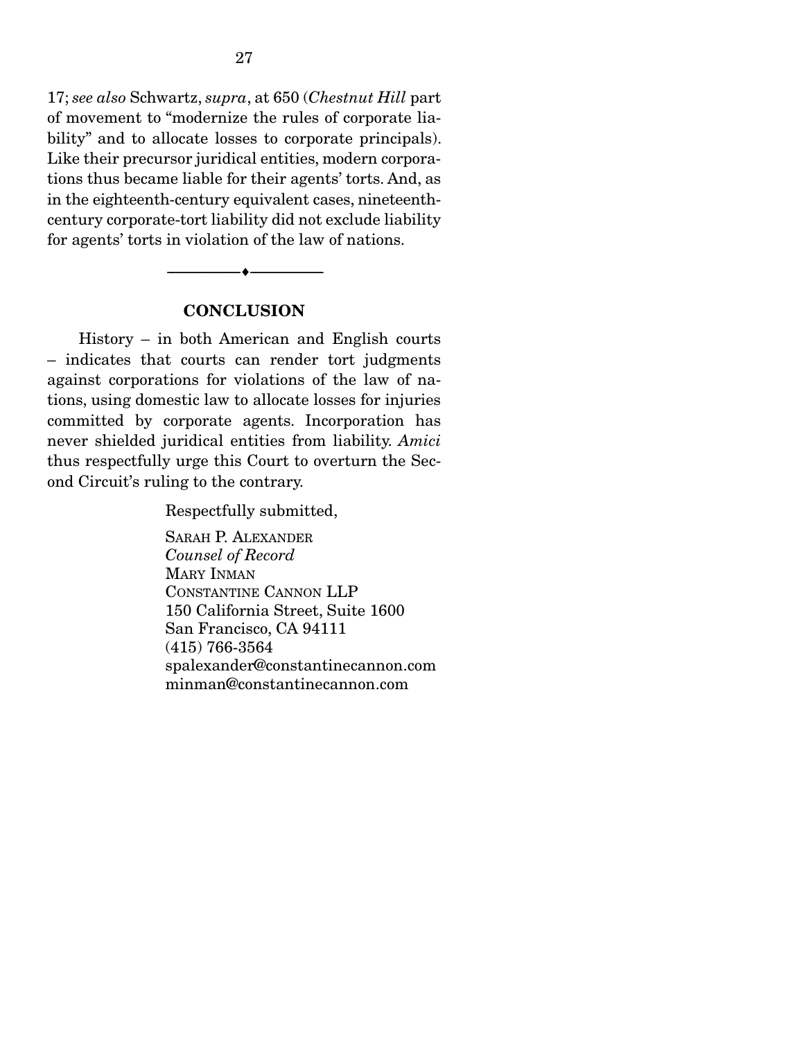17; *see also* Schwartz, *supra*, at 650 (*Chestnut Hill* part of movement to "modernize the rules of corporate liability" and to allocate losses to corporate principals). Like their precursor juridical entities, modern corporations thus became liable for their agents' torts. And, as in the eighteenth-century equivalent cases, nineteenthcentury corporate-tort liability did not exclude liability for agents' torts in violation of the law of nations.

#### **CONCLUSION**

--------------------------------- ---------------------------------

 History – in both American and English courts – indicates that courts can render tort judgments against corporations for violations of the law of nations, using domestic law to allocate losses for injuries committed by corporate agents. Incorporation has never shielded juridical entities from liability. *Amici* thus respectfully urge this Court to overturn the Second Circuit's ruling to the contrary.

Respectfully submitted,

SARAH P. ALEXANDER *Counsel of Record*  MARY INMAN CONSTANTINE CANNON LLP 150 California Street, Suite 1600 San Francisco, CA 94111 (415) 766-3564 spalexander@constantinecannon.com minman@constantinecannon.com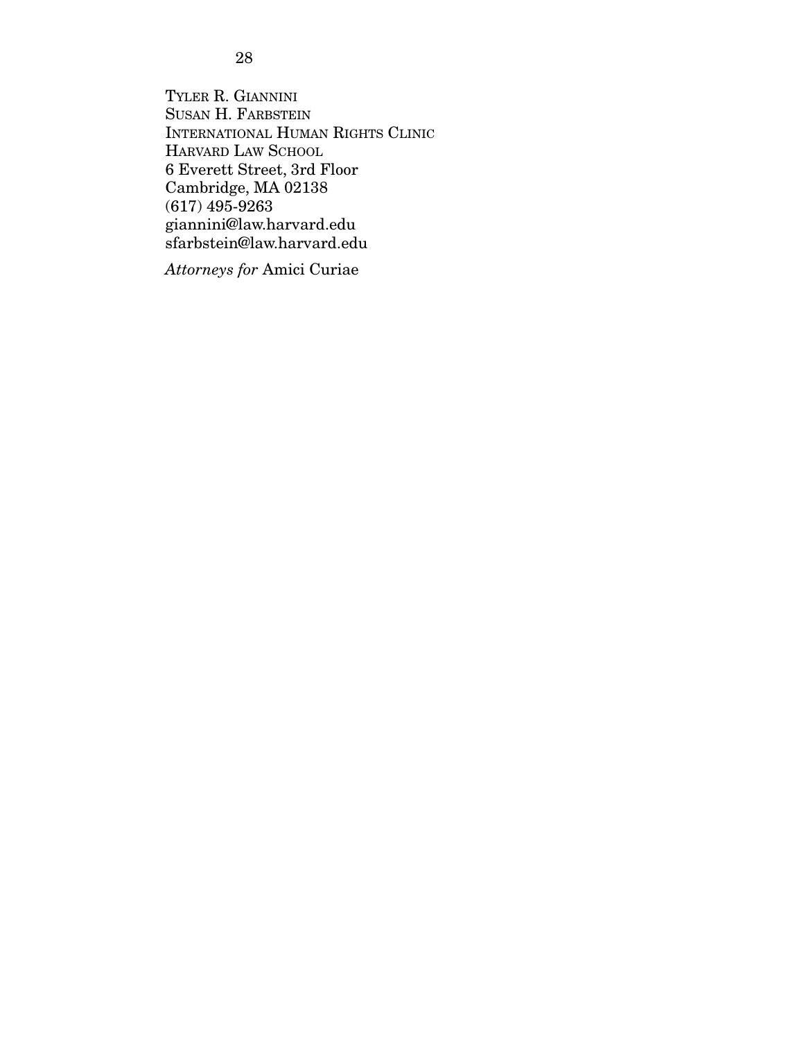28

TYLER R. GIANNINI SUSAN H. FARBSTEIN INTERNATIONAL HUMAN RIGHTS CLINIC HARVARD LAW SCHOOL 6 Everett Street, 3rd Floor Cambridge, MA 02138 (617) 495-9263 giannini@law.harvard.edu sfarbstein@law.harvard.edu

*Attorneys for* Amici Curiae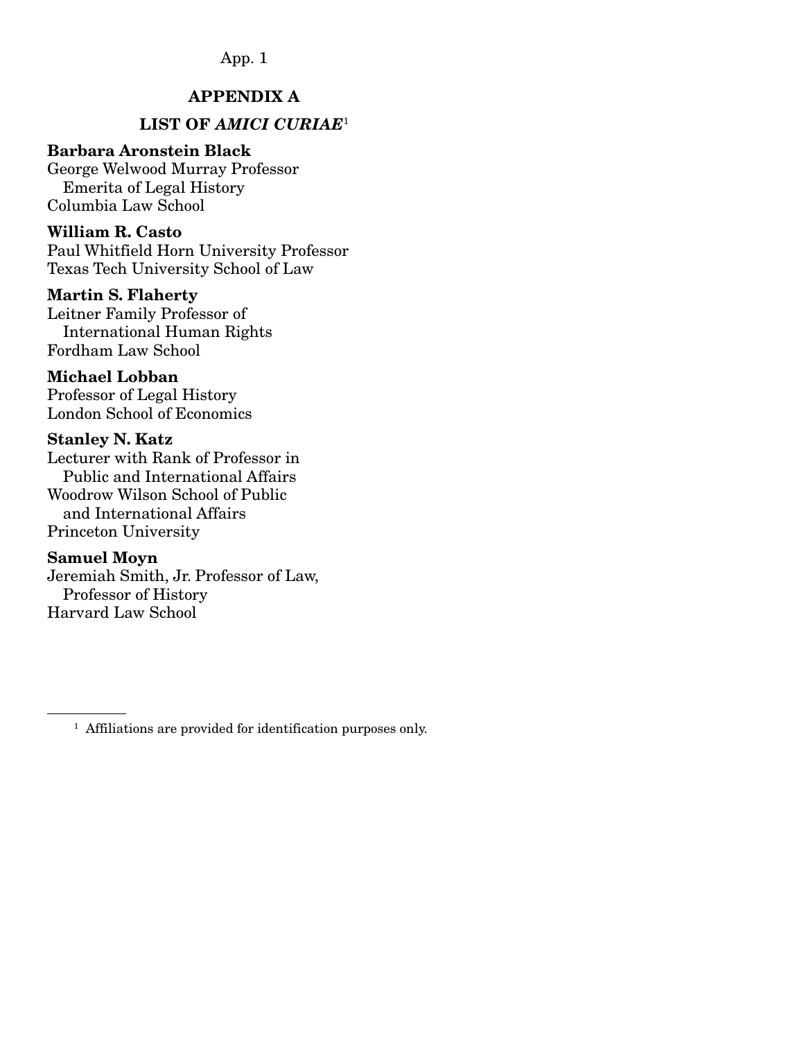### APPENDIX A

### LIST OF *AMICI CURIAE*<sup>1</sup>

#### Barbara Aronstein Black

George Welwood Murray Professor Emerita of Legal History Columbia Law School

#### William R. Casto

Paul Whitfield Horn University Professor Texas Tech University School of Law

#### Martin S. Flaherty

Leitner Family Professor of International Human Rights Fordham Law School

#### Michael Lobban

Professor of Legal History London School of Economics

#### Stanley N. Katz

Lecturer with Rank of Professor in Public and International Affairs Woodrow Wilson School of Public and International Affairs Princeton University

#### Samuel Moyn

Jeremiah Smith, Jr. Professor of Law, Professor of History Harvard Law School Ī

<sup>&</sup>lt;sup>1</sup> Affiliations are provided for identification purposes only.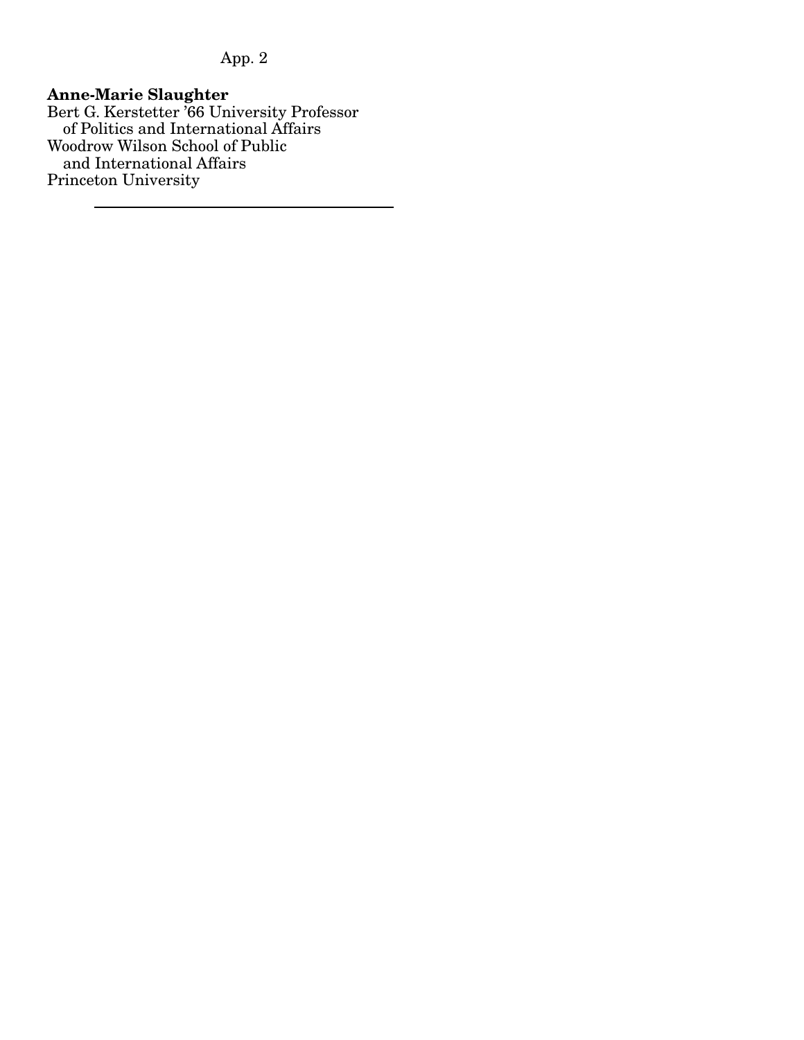#### Anne-Marie Slaughter

Bert G. Kerstetter '66 University Professor of Politics and International Affairs Woodrow Wilson School of Public and International Affairs Princeton University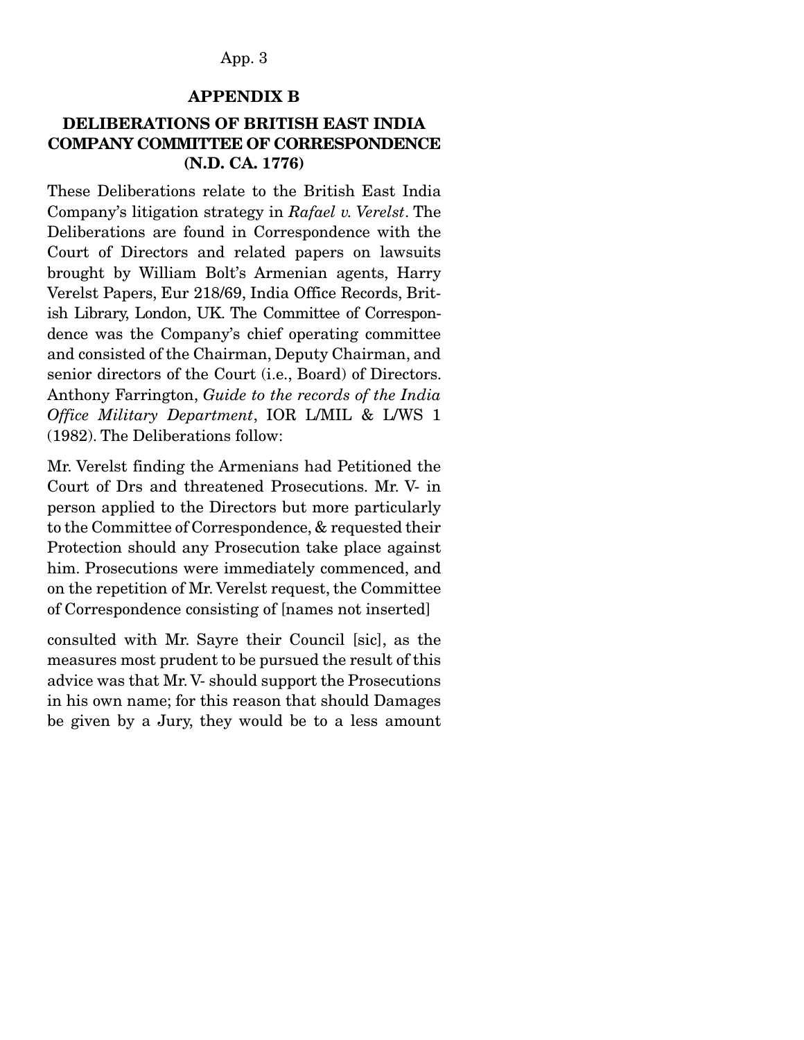#### APPENDIX B

### DELIBERATIONS OF BRITISH EAST INDIA COMPANY COMMITTEE OF CORRESPONDENCE (N.D. CA. 1776)

These Deliberations relate to the British East India Company's litigation strategy in *Rafael v. Verelst*. The Deliberations are found in Correspondence with the Court of Directors and related papers on lawsuits brought by William Bolt's Armenian agents, Harry Verelst Papers, Eur 218/69, India Office Records, British Library, London, UK. The Committee of Correspondence was the Company's chief operating committee and consisted of the Chairman, Deputy Chairman, and senior directors of the Court (i.e., Board) of Directors. Anthony Farrington, *Guide to the records of the India Office Military Department*, IOR L/MIL & L/WS 1 (1982). The Deliberations follow:

Mr. Verelst finding the Armenians had Petitioned the Court of Drs and threatened Prosecutions. Mr. V- in person applied to the Directors but more particularly to the Committee of Correspondence, & requested their Protection should any Prosecution take place against him. Prosecutions were immediately commenced, and on the repetition of Mr. Verelst request, the Committee of Correspondence consisting of [names not inserted]

consulted with Mr. Sayre their Council [sic], as the measures most prudent to be pursued the result of this advice was that Mr. V- should support the Prosecutions in his own name; for this reason that should Damages be given by a Jury, they would be to a less amount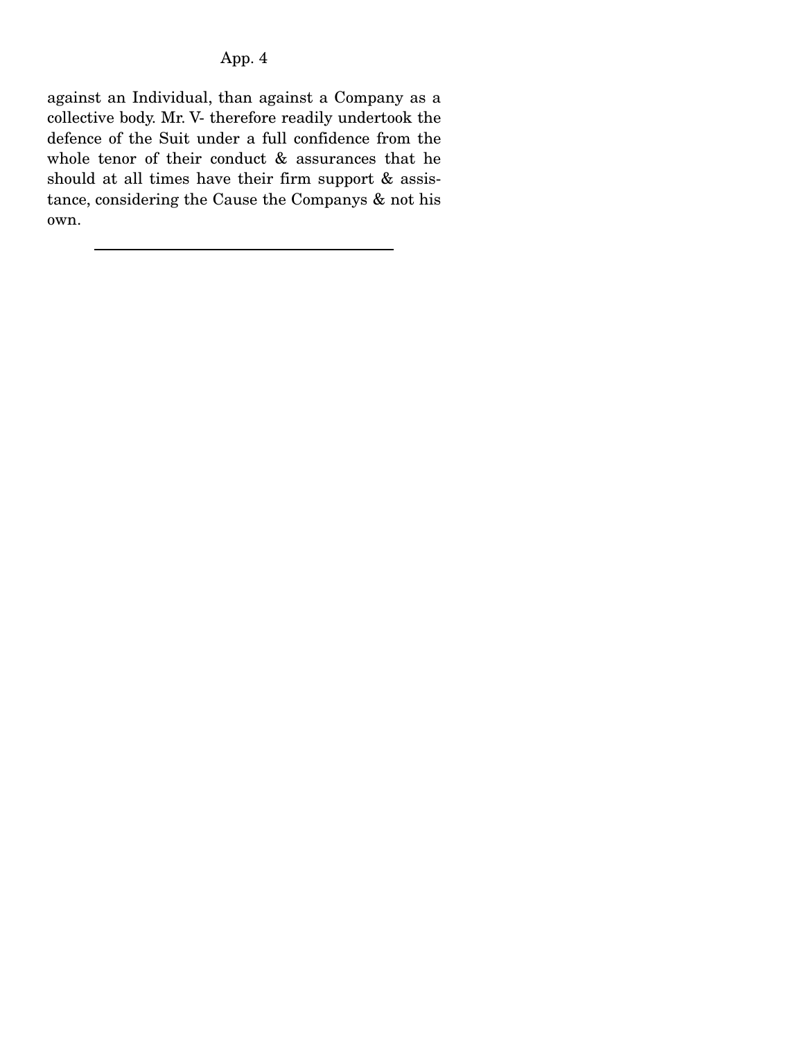against an Individual, than against a Company as a collective body. Mr. V- therefore readily undertook the defence of the Suit under a full confidence from the whole tenor of their conduct & assurances that he should at all times have their firm support & assistance, considering the Cause the Companys & not his own.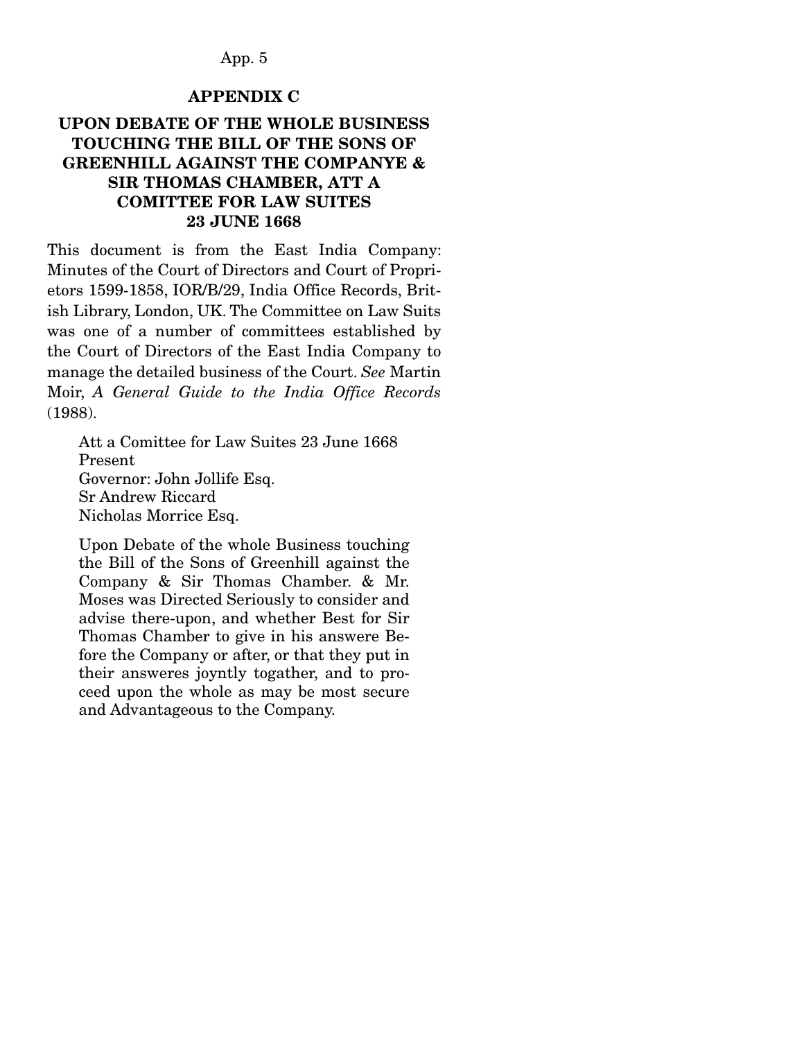#### APPENDIX C

### UPON DEBATE OF THE WHOLE BUSINESS TOUCHING THE BILL OF THE SONS OF GREENHILL AGAINST THE COMPANYE & SIR THOMAS CHAMBER, ATT A COMITTEE FOR LAW SUITES 23 JUNE 1668

This document is from the East India Company: Minutes of the Court of Directors and Court of Proprietors 1599-1858, IOR/B/29, India Office Records, British Library, London, UK. The Committee on Law Suits was one of a number of committees established by the Court of Directors of the East India Company to manage the detailed business of the Court. *See* Martin Moir, *A General Guide to the India Office Records*  (1988).

Att a Comittee for Law Suites 23 June 1668 Present Governor: John Jollife Esq. Sr Andrew Riccard Nicholas Morrice Esq.

Upon Debate of the whole Business touching the Bill of the Sons of Greenhill against the Company & Sir Thomas Chamber. & Mr. Moses was Directed Seriously to consider and advise there-upon, and whether Best for Sir Thomas Chamber to give in his answere Before the Company or after, or that they put in their answeres joyntly togather, and to proceed upon the whole as may be most secure and Advantageous to the Company.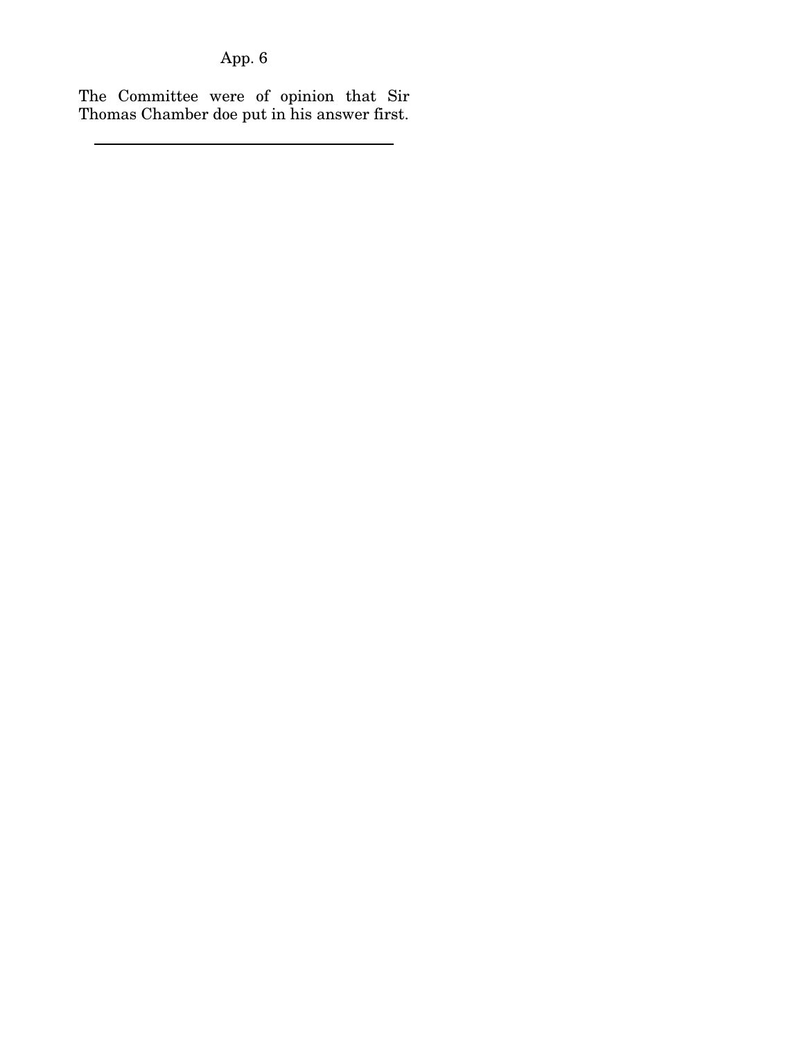The Committee were of opinion that Sir Thomas Chamber doe put in his answer first.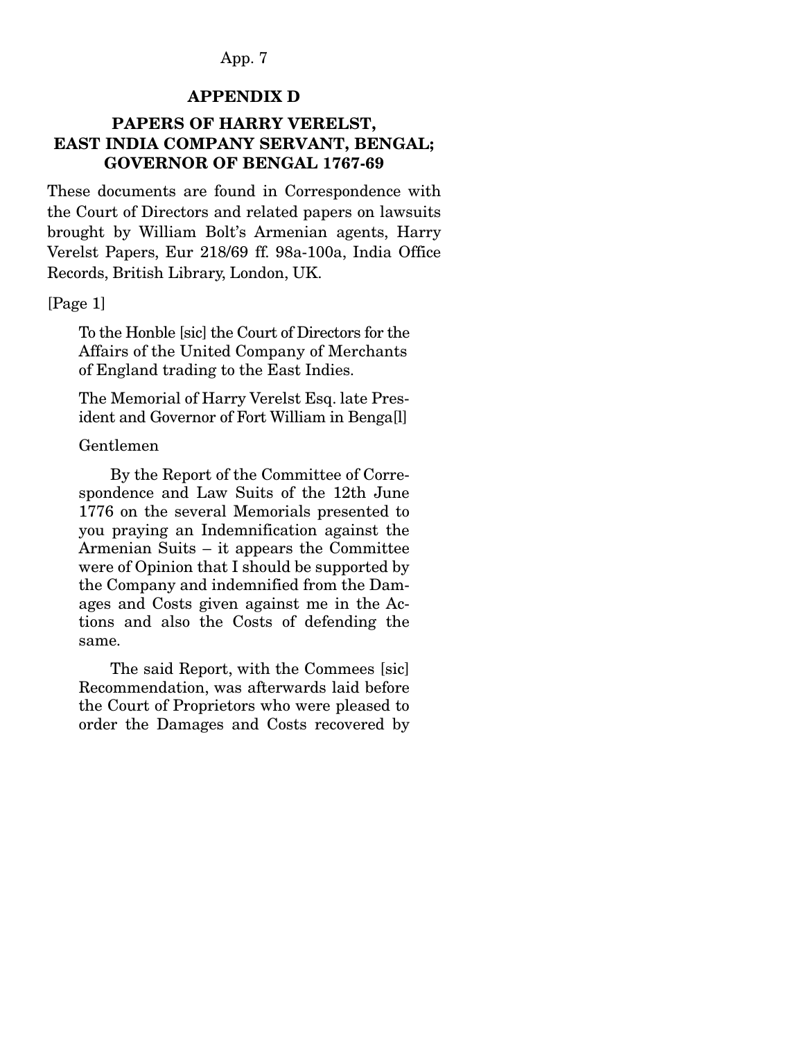#### APPENDIX D

### PAPERS OF HARRY VERELST, EAST INDIA COMPANY SERVANT, BENGAL; GOVERNOR OF BENGAL 1767-69

These documents are found in Correspondence with the Court of Directors and related papers on lawsuits brought by William Bolt's Armenian agents, Harry Verelst Papers, Eur 218/69 ff. 98a-100a, India Office Records, British Library, London, UK.

#### [Page 1]

To the Honble [sic] the Court of Directors for the Affairs of the United Company of Merchants of England trading to the East Indies.

The Memorial of Harry Verelst Esq. late President and Governor of Fort William in Benga[l]

#### Gentlemen

 By the Report of the Committee of Correspondence and Law Suits of the 12th June 1776 on the several Memorials presented to you praying an Indemnification against the Armenian Suits – it appears the Committee were of Opinion that I should be supported by the Company and indemnified from the Damages and Costs given against me in the Actions and also the Costs of defending the same.

 The said Report, with the Commees [sic] Recommendation, was afterwards laid before the Court of Proprietors who were pleased to order the Damages and Costs recovered by